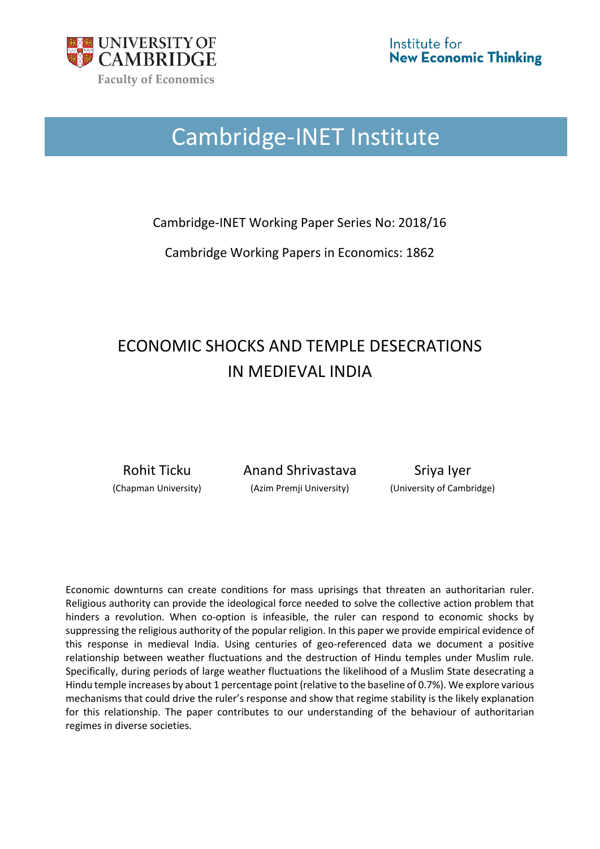

# Cambridge-INET Institute

Cambridge-INET Working Paper Series No: 2018/16

Cambridge Working Papers in Economics: 1862

# ECONOMIC SHOCKS AND TEMPLE DESECRATIONS IN MEDIEVAL INDIA

Rohit Ticku Anand Shrivastava Sriya Iyer (Chapman University) (Azim Premji University) (University of Cambridge)

Economic downturns can create conditions for mass uprisings that threaten an authoritarian ruler. Religious authority can provide the ideological force needed to solve the collective action problem that hinders a revolution. When co-option is infeasible, the ruler can respond to economic shocks by suppressing the religious authority of the popular religion. In this paper we provide empirical evidence of this response in medieval India. Using centuries of geo-referenced data we document a positive relationship between weather fluctuations and the destruction of Hindu temples under Muslim rule. Specifically, during periods of large weather fluctuations the likelihood of a Muslim State desecrating a Hindu temple increases by about 1 percentage point (relative to the baseline of 0.7%). We explore various mechanisms that could drive the ruler's response and show that regime stability is the likely explanation for this relationship. The paper contributes to our understanding of the behaviour of authoritarian regimes in diverse societies.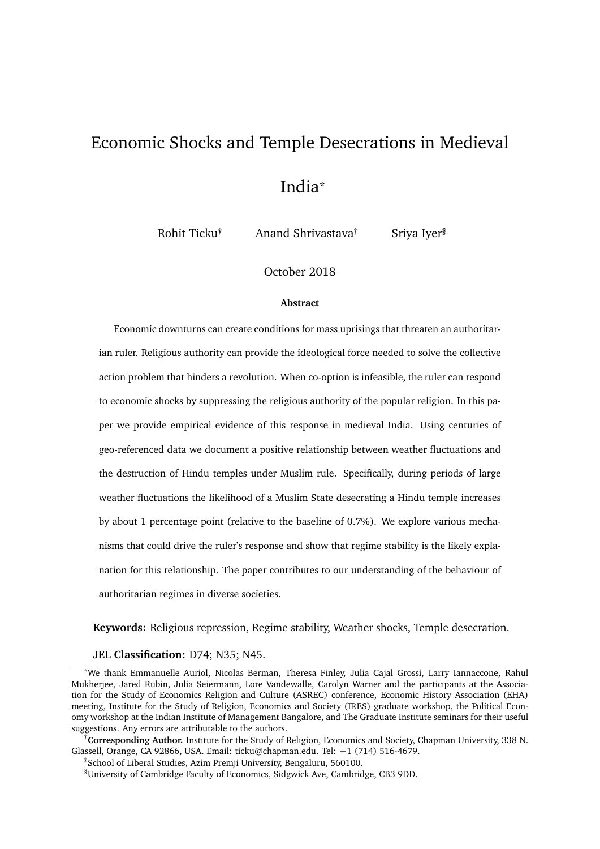# Economic Shocks and Temple Desecrations in Medieval India\*

Rohit Ticku<sup>\*</sup> Anand Shrivastava<sup>‡</sup> Sriya Iyer<sup>§</sup>

October 2018

#### **Abstract**

Economic downturns can create conditions for mass uprisings that threaten an authoritarian ruler. Religious authority can provide the ideological force needed to solve the collective action problem that hinders a revolution. When co-option is infeasible, the ruler can respond to economic shocks by suppressing the religious authority of the popular religion. In this paper we provide empirical evidence of this response in medieval India. Using centuries of geo-referenced data we document a positive relationship between weather fluctuations and the destruction of Hindu temples under Muslim rule. Specifically, during periods of large weather fluctuations the likelihood of a Muslim State desecrating a Hindu temple increases by about 1 percentage point (relative to the baseline of 0.7%). We explore various mechanisms that could drive the ruler's response and show that regime stability is the likely explanation for this relationship. The paper contributes to our understanding of the behaviour of authoritarian regimes in diverse societies.

**Keywords:** Religious repression, Regime stability, Weather shocks, Temple desecration.

#### **JEL Classification:** D74; N35; N45.

†**Corresponding Author.** Institute for the Study of Religion, Economics and Society, Chapman University, 338 N. Glassell, Orange, CA 92866, USA. Email: ticku@chapman.edu. Tel: +1 (714) 516-4679.

‡ School of Liberal Studies, Azim Premji University, Bengaluru, 560100.

<sup>\*</sup>We thank Emmanuelle Auriol, Nicolas Berman, Theresa Finley, Julia Cajal Grossi, Larry Iannaccone, Rahul Mukherjee, Jared Rubin, Julia Seiermann, Lore Vandewalle, Carolyn Warner and the participants at the Association for the Study of Economics Religion and Culture (ASREC) conference, Economic History Association (EHA) meeting, Institute for the Study of Religion, Economics and Society (IRES) graduate workshop, the Political Economy workshop at the Indian Institute of Management Bangalore, and The Graduate Institute seminars for their useful suggestions. Any errors are attributable to the authors.

<sup>§</sup>University of Cambridge Faculty of Economics, Sidgwick Ave, Cambridge, CB3 9DD.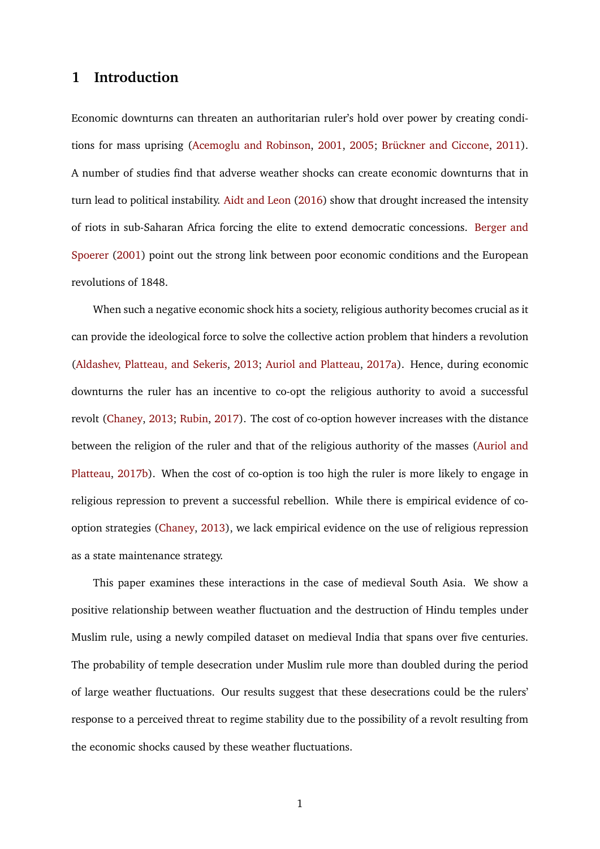# **1 Introduction**

Economic downturns can threaten an authoritarian ruler's hold over power by creating condi-tions for mass uprising [\(Acemoglu and Robinson,](#page-34-0) [2001,](#page-34-0) [2005;](#page-34-1) Brückner and Ciccone, [2011\)](#page-35-0). A number of studies find that adverse weather shocks can create economic downturns that in turn lead to political instability. [Aidt and Leon](#page-34-2) [\(2016\)](#page-34-2) show that drought increased the intensity of riots in sub-Saharan Africa forcing the elite to extend democratic concessions. [Berger and](#page-35-1) [Spoerer](#page-35-1) [\(2001\)](#page-35-1) point out the strong link between poor economic conditions and the European revolutions of 1848.

When such a negative economic shock hits a society, religious authority becomes crucial as it can provide the ideological force to solve the collective action problem that hinders a revolution [\(Aldashev, Platteau, and Sekeris,](#page-34-3) [2013;](#page-34-3) [Auriol and Platteau,](#page-34-4) [2017a\)](#page-34-4). Hence, during economic downturns the ruler has an incentive to co-opt the religious authority to avoid a successful revolt [\(Chaney,](#page-35-2) [2013;](#page-35-2) [Rubin,](#page-39-0) [2017\)](#page-39-0). The cost of co-option however increases with the distance between the religion of the ruler and that of the religious authority of the masses [\(Auriol and](#page-34-5) [Platteau,](#page-34-5) [2017b\)](#page-34-5). When the cost of co-option is too high the ruler is more likely to engage in religious repression to prevent a successful rebellion. While there is empirical evidence of cooption strategies [\(Chaney,](#page-35-2) [2013\)](#page-35-2), we lack empirical evidence on the use of religious repression as a state maintenance strategy.

This paper examines these interactions in the case of medieval South Asia. We show a positive relationship between weather fluctuation and the destruction of Hindu temples under Muslim rule, using a newly compiled dataset on medieval India that spans over five centuries. The probability of temple desecration under Muslim rule more than doubled during the period of large weather fluctuations. Our results suggest that these desecrations could be the rulers' response to a perceived threat to regime stability due to the possibility of a revolt resulting from the economic shocks caused by these weather fluctuations.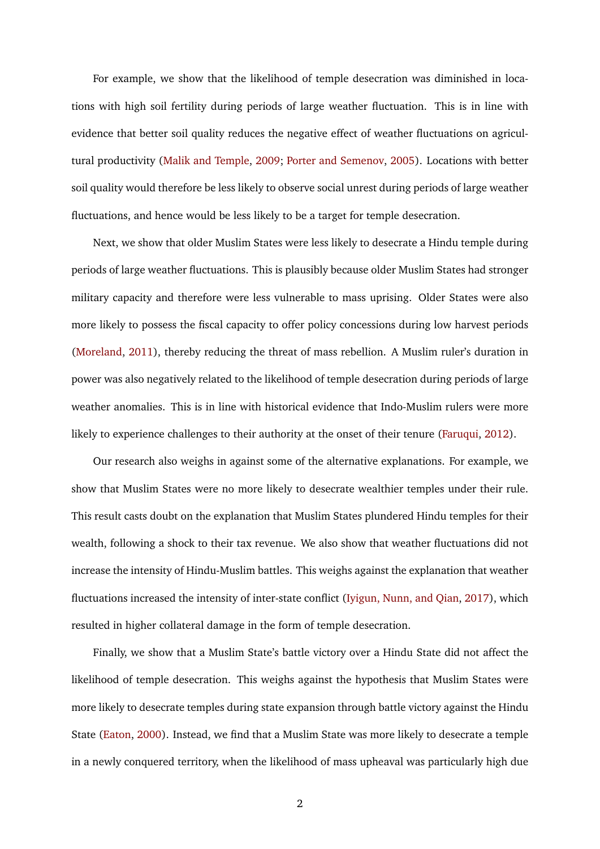For example, we show that the likelihood of temple desecration was diminished in locations with high soil fertility during periods of large weather fluctuation. This is in line with evidence that better soil quality reduces the negative effect of weather fluctuations on agricultural productivity [\(Malik and Temple,](#page-37-0) [2009;](#page-37-0) [Porter and Semenov,](#page-38-0) [2005\)](#page-38-0). Locations with better soil quality would therefore be less likely to observe social unrest during periods of large weather fluctuations, and hence would be less likely to be a target for temple desecration.

Next, we show that older Muslim States were less likely to desecrate a Hindu temple during periods of large weather fluctuations. This is plausibly because older Muslim States had stronger military capacity and therefore were less vulnerable to mass uprising. Older States were also more likely to possess the fiscal capacity to offer policy concessions during low harvest periods [\(Moreland,](#page-38-1) [2011\)](#page-38-1), thereby reducing the threat of mass rebellion. A Muslim ruler's duration in power was also negatively related to the likelihood of temple desecration during periods of large weather anomalies. This is in line with historical evidence that Indo-Muslim rulers were more likely to experience challenges to their authority at the onset of their tenure [\(Faruqui,](#page-36-0) [2012\)](#page-36-0).

Our research also weighs in against some of the alternative explanations. For example, we show that Muslim States were no more likely to desecrate wealthier temples under their rule. This result casts doubt on the explanation that Muslim States plundered Hindu temples for their wealth, following a shock to their tax revenue. We also show that weather fluctuations did not increase the intensity of Hindu-Muslim battles. This weighs against the explanation that weather fluctuations increased the intensity of inter-state conflict [\(Iyigun, Nunn, and Qian,](#page-37-1) [2017\)](#page-37-1), which resulted in higher collateral damage in the form of temple desecration.

Finally, we show that a Muslim State's battle victory over a Hindu State did not affect the likelihood of temple desecration. This weighs against the hypothesis that Muslim States were more likely to desecrate temples during state expansion through battle victory against the Hindu State [\(Eaton,](#page-36-1) [2000\)](#page-36-1). Instead, we find that a Muslim State was more likely to desecrate a temple in a newly conquered territory, when the likelihood of mass upheaval was particularly high due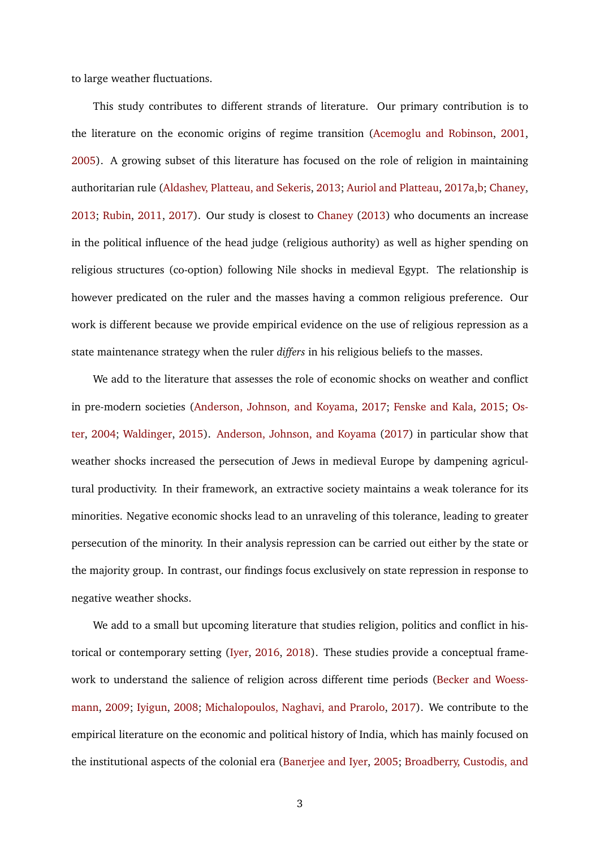to large weather fluctuations.

This study contributes to different strands of literature. Our primary contribution is to the literature on the economic origins of regime transition [\(Acemoglu and Robinson,](#page-34-0) [2001,](#page-34-0) [2005\)](#page-34-1). A growing subset of this literature has focused on the role of religion in maintaining authoritarian rule [\(Aldashev, Platteau, and Sekeris,](#page-34-3) [2013;](#page-34-3) [Auriol and Platteau,](#page-34-4) [2017a,](#page-34-4)[b;](#page-34-5) [Chaney,](#page-35-2) [2013;](#page-35-2) [Rubin,](#page-39-1) [2011,](#page-39-1) [2017\)](#page-39-0). Our study is closest to [Chaney](#page-35-2) [\(2013\)](#page-35-2) who documents an increase in the political influence of the head judge (religious authority) as well as higher spending on religious structures (co-option) following Nile shocks in medieval Egypt. The relationship is however predicated on the ruler and the masses having a common religious preference. Our work is different because we provide empirical evidence on the use of religious repression as a state maintenance strategy when the ruler *differs* in his religious beliefs to the masses.

We add to the literature that assesses the role of economic shocks on weather and conflict in pre-modern societies [\(Anderson, Johnson, and Koyama,](#page-34-6) [2017;](#page-34-6) [Fenske and Kala,](#page-36-2) [2015;](#page-36-2) [Os](#page-38-2)[ter,](#page-38-2) [2004;](#page-38-2) [Waldinger,](#page-39-2) [2015\)](#page-39-2). [Anderson, Johnson, and Koyama](#page-34-6) [\(2017\)](#page-34-6) in particular show that weather shocks increased the persecution of Jews in medieval Europe by dampening agricultural productivity. In their framework, an extractive society maintains a weak tolerance for its minorities. Negative economic shocks lead to an unraveling of this tolerance, leading to greater persecution of the minority. In their analysis repression can be carried out either by the state or the majority group. In contrast, our findings focus exclusively on state repression in response to negative weather shocks.

We add to a small but upcoming literature that studies religion, politics and conflict in historical or contemporary setting [\(Iyer,](#page-37-2) [2016,](#page-37-2) [2018\)](#page-37-3). These studies provide a conceptual framework to understand the salience of religion across different time periods [\(Becker and Woess](#page-35-3)[mann,](#page-35-3) [2009;](#page-35-3) [Iyigun,](#page-37-4) [2008;](#page-37-4) [Michalopoulos, Naghavi, and Prarolo,](#page-38-3) [2017\)](#page-38-3). We contribute to the empirical literature on the economic and political history of India, which has mainly focused on the institutional aspects of the colonial era [\(Banerjee and Iyer,](#page-34-7) [2005;](#page-34-7) [Broadberry, Custodis, and](#page-35-4)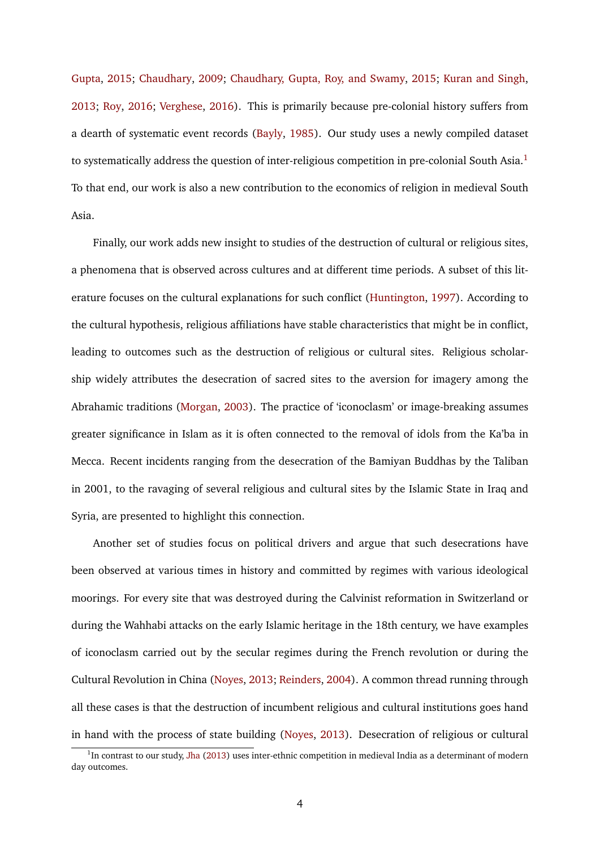[Gupta,](#page-35-4) [2015;](#page-35-4) [Chaudhary,](#page-35-5) [2009;](#page-35-5) [Chaudhary, Gupta, Roy, and Swamy,](#page-35-6) [2015;](#page-35-6) [Kuran and Singh,](#page-37-5) [2013;](#page-37-5) [Roy,](#page-39-3) [2016;](#page-39-3) [Verghese,](#page-39-4) [2016\)](#page-39-4). This is primarily because pre-colonial history suffers from a dearth of systematic event records [\(Bayly,](#page-34-8) [1985\)](#page-34-8). Our study uses a newly compiled dataset to systematically address the question of inter-religious competition in pre-colonial South Asia.<sup>[1](#page-5-0)</sup> To that end, our work is also a new contribution to the economics of religion in medieval South Asia.

Finally, our work adds new insight to studies of the destruction of cultural or religious sites, a phenomena that is observed across cultures and at different time periods. A subset of this literature focuses on the cultural explanations for such conflict [\(Huntington,](#page-36-3) [1997\)](#page-36-3). According to the cultural hypothesis, religious affiliations have stable characteristics that might be in conflict, leading to outcomes such as the destruction of religious or cultural sites. Religious scholarship widely attributes the desecration of sacred sites to the aversion for imagery among the Abrahamic traditions [\(Morgan,](#page-38-4) [2003\)](#page-38-4). The practice of 'iconoclasm' or image-breaking assumes greater significance in Islam as it is often connected to the removal of idols from the Ka'ba in Mecca. Recent incidents ranging from the desecration of the Bamiyan Buddhas by the Taliban in 2001, to the ravaging of several religious and cultural sites by the Islamic State in Iraq and Syria, are presented to highlight this connection.

Another set of studies focus on political drivers and argue that such desecrations have been observed at various times in history and committed by regimes with various ideological moorings. For every site that was destroyed during the Calvinist reformation in Switzerland or during the Wahhabi attacks on the early Islamic heritage in the 18th century, we have examples of iconoclasm carried out by the secular regimes during the French revolution or during the Cultural Revolution in China [\(Noyes,](#page-38-5) [2013;](#page-38-5) [Reinders,](#page-38-6) [2004\)](#page-38-6). A common thread running through all these cases is that the destruction of incumbent religious and cultural institutions goes hand in hand with the process of state building [\(Noyes,](#page-38-5) [2013\)](#page-38-5). Desecration of religious or cultural

<span id="page-5-0"></span> $1$ In contrast to our study, [Jha](#page-37-6) [\(2013\)](#page-37-6) uses inter-ethnic competition in medieval India as a determinant of modern day outcomes.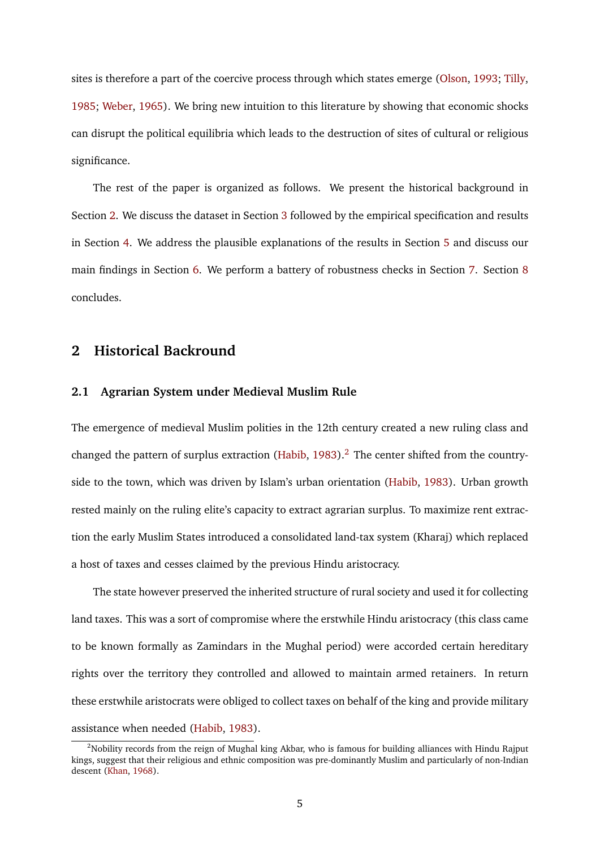sites is therefore a part of the coercive process through which states emerge [\(Olson,](#page-38-7) [1993;](#page-38-7) [Tilly,](#page-39-5) [1985;](#page-39-5) [Weber,](#page-39-6) [1965\)](#page-39-6). We bring new intuition to this literature by showing that economic shocks can disrupt the political equilibria which leads to the destruction of sites of cultural or religious significance.

The rest of the paper is organized as follows. We present the historical background in Section [2.](#page-6-0) We discuss the dataset in Section [3](#page-9-0) followed by the empirical specification and results in Section [4.](#page-13-0) We address the plausible explanations of the results in Section [5](#page-17-0) and discuss our main findings in Section [6.](#page-28-0) We perform a battery of robustness checks in Section [7.](#page-30-0) Section [8](#page-32-0) concludes.

# <span id="page-6-0"></span>**2 Historical Backround**

#### **2.1 Agrarian System under Medieval Muslim Rule**

The emergence of medieval Muslim polities in the 12th century created a new ruling class and changed the pattern of surplus extraction [\(Habib,](#page-36-4)  $1983$ ).<sup>[2](#page-6-1)</sup> The center shifted from the countryside to the town, which was driven by Islam's urban orientation [\(Habib,](#page-36-4) [1983\)](#page-36-4). Urban growth rested mainly on the ruling elite's capacity to extract agrarian surplus. To maximize rent extraction the early Muslim States introduced a consolidated land-tax system (Kharaj) which replaced a host of taxes and cesses claimed by the previous Hindu aristocracy.

The state however preserved the inherited structure of rural society and used it for collecting land taxes. This was a sort of compromise where the erstwhile Hindu aristocracy (this class came to be known formally as Zamindars in the Mughal period) were accorded certain hereditary rights over the territory they controlled and allowed to maintain armed retainers. In return these erstwhile aristocrats were obliged to collect taxes on behalf of the king and provide military assistance when needed [\(Habib,](#page-36-4) [1983\)](#page-36-4).

<span id="page-6-1"></span><sup>&</sup>lt;sup>2</sup>Nobility records from the reign of Mughal king Akbar, who is famous for building alliances with Hindu Rajput kings, suggest that their religious and ethnic composition was pre-dominantly Muslim and particularly of non-Indian descent [\(Khan,](#page-37-7) [1968\)](#page-37-7).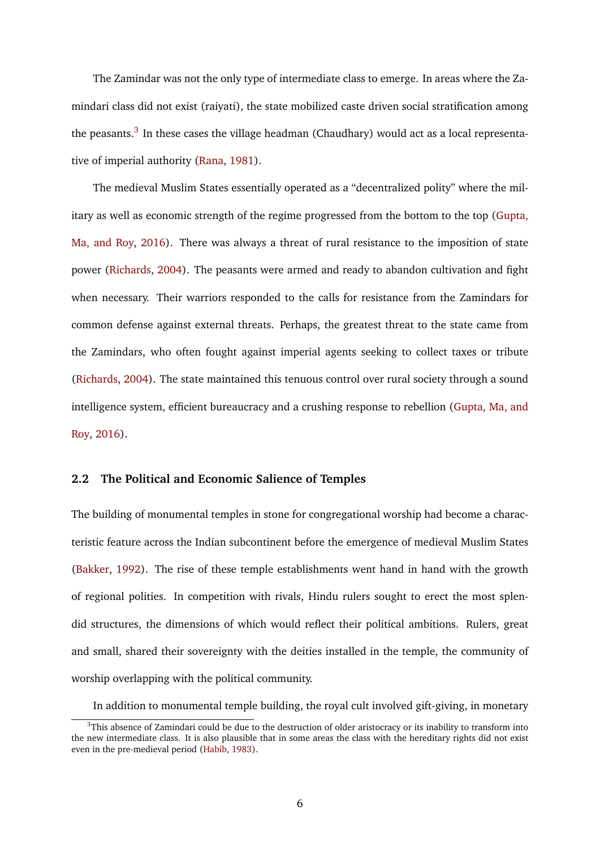The Zamindar was not the only type of intermediate class to emerge. In areas where the Zamindari class did not exist (raiyati), the state mobilized caste driven social stratification among the peasants.<sup>[3](#page-7-0)</sup> In these cases the village headman (Chaudhary) would act as a local representative of imperial authority [\(Rana,](#page-38-8) [1981\)](#page-38-8).

The medieval Muslim States essentially operated as a "decentralized polity" where the military as well as economic strength of the regime progressed from the bottom to the top [\(Gupta,](#page-36-5) [Ma, and Roy,](#page-36-5) [2016\)](#page-36-5). There was always a threat of rural resistance to the imposition of state power [\(Richards,](#page-39-7) [2004\)](#page-39-7). The peasants were armed and ready to abandon cultivation and fight when necessary. Their warriors responded to the calls for resistance from the Zamindars for common defense against external threats. Perhaps, the greatest threat to the state came from the Zamindars, who often fought against imperial agents seeking to collect taxes or tribute [\(Richards,](#page-39-7) [2004\)](#page-39-7). The state maintained this tenuous control over rural society through a sound intelligence system, efficient bureaucracy and a crushing response to rebellion [\(Gupta, Ma, and](#page-36-5) [Roy,](#page-36-5) [2016\)](#page-36-5).

#### **2.2 The Political and Economic Salience of Temples**

The building of monumental temples in stone for congregational worship had become a characteristic feature across the Indian subcontinent before the emergence of medieval Muslim States [\(Bakker,](#page-34-9) [1992\)](#page-34-9). The rise of these temple establishments went hand in hand with the growth of regional polities. In competition with rivals, Hindu rulers sought to erect the most splendid structures, the dimensions of which would reflect their political ambitions. Rulers, great and small, shared their sovereignty with the deities installed in the temple, the community of worship overlapping with the political community.

<span id="page-7-0"></span>In addition to monumental temple building, the royal cult involved gift-giving, in monetary

 $3$ This absence of Zamindari could be due to the destruction of older aristocracy or its inability to transform into the new intermediate class. It is also plausible that in some areas the class with the hereditary rights did not exist even in the pre-medieval period [\(Habib,](#page-36-4) [1983\)](#page-36-4).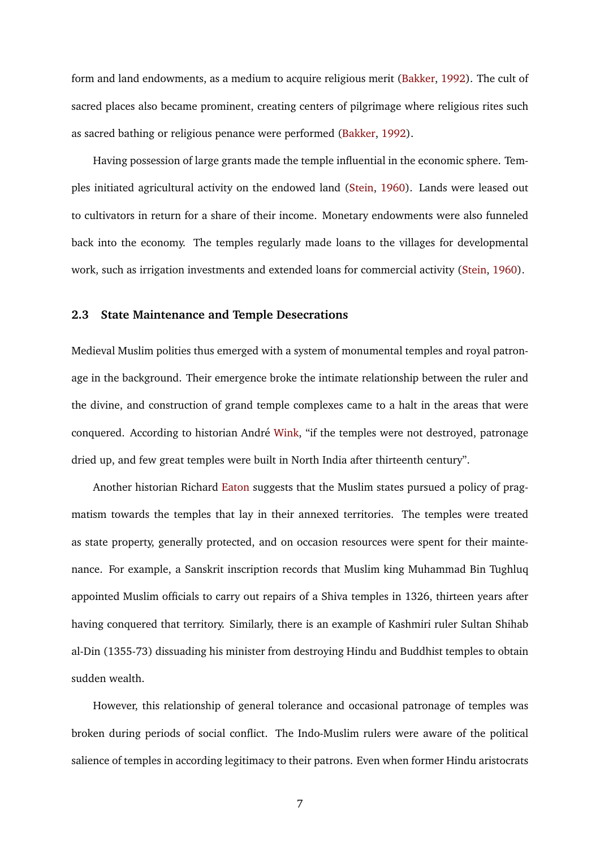form and land endowments, as a medium to acquire religious merit [\(Bakker,](#page-34-9) [1992\)](#page-34-9). The cult of sacred places also became prominent, creating centers of pilgrimage where religious rites such as sacred bathing or religious penance were performed [\(Bakker,](#page-34-9) [1992\)](#page-34-9).

Having possession of large grants made the temple influential in the economic sphere. Temples initiated agricultural activity on the endowed land [\(Stein,](#page-39-8) [1960\)](#page-39-8). Lands were leased out to cultivators in return for a share of their income. Monetary endowments were also funneled back into the economy. The temples regularly made loans to the villages for developmental work, such as irrigation investments and extended loans for commercial activity [\(Stein,](#page-39-8) [1960\)](#page-39-8).

#### **2.3 State Maintenance and Temple Desecrations**

Medieval Muslim polities thus emerged with a system of monumental temples and royal patronage in the background. Their emergence broke the intimate relationship between the ruler and the divine, and construction of grand temple complexes came to a halt in the areas that were conquered. According to historian André [Wink,](#page-39-9) "if the temples were not destroyed, patronage dried up, and few great temples were built in North India after thirteenth century".

Another historian Richard [Eaton](#page-36-1) suggests that the Muslim states pursued a policy of pragmatism towards the temples that lay in their annexed territories. The temples were treated as state property, generally protected, and on occasion resources were spent for their maintenance. For example, a Sanskrit inscription records that Muslim king Muhammad Bin Tughluq appointed Muslim officials to carry out repairs of a Shiva temples in 1326, thirteen years after having conquered that territory. Similarly, there is an example of Kashmiri ruler Sultan Shihab al-Din (1355-73) dissuading his minister from destroying Hindu and Buddhist temples to obtain sudden wealth.

However, this relationship of general tolerance and occasional patronage of temples was broken during periods of social conflict. The Indo-Muslim rulers were aware of the political salience of temples in according legitimacy to their patrons. Even when former Hindu aristocrats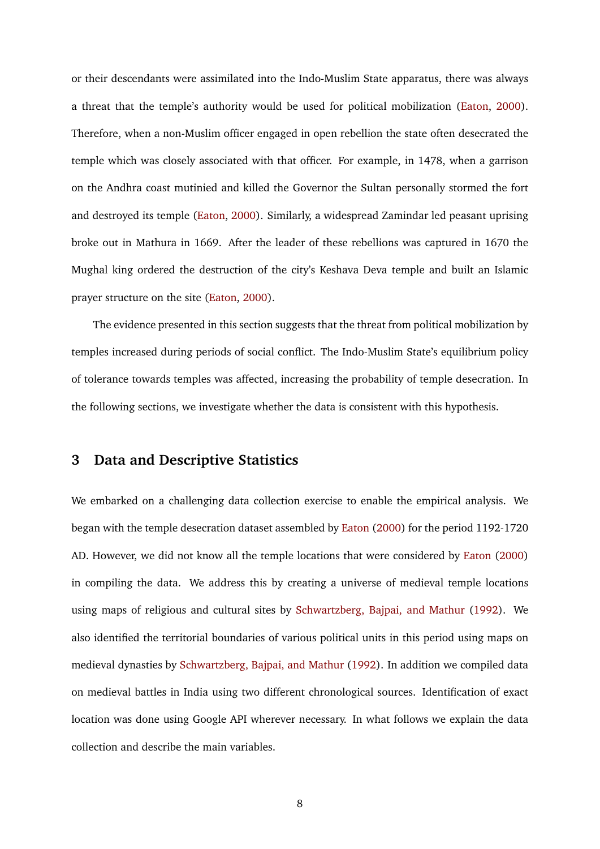or their descendants were assimilated into the Indo-Muslim State apparatus, there was always a threat that the temple's authority would be used for political mobilization [\(Eaton,](#page-36-1) [2000\)](#page-36-1). Therefore, when a non-Muslim officer engaged in open rebellion the state often desecrated the temple which was closely associated with that officer. For example, in 1478, when a garrison on the Andhra coast mutinied and killed the Governor the Sultan personally stormed the fort and destroyed its temple [\(Eaton,](#page-36-1) [2000\)](#page-36-1). Similarly, a widespread Zamindar led peasant uprising broke out in Mathura in 1669. After the leader of these rebellions was captured in 1670 the Mughal king ordered the destruction of the city's Keshava Deva temple and built an Islamic prayer structure on the site [\(Eaton,](#page-36-1) [2000\)](#page-36-1).

The evidence presented in this section suggests that the threat from political mobilization by temples increased during periods of social conflict. The Indo-Muslim State's equilibrium policy of tolerance towards temples was affected, increasing the probability of temple desecration. In the following sections, we investigate whether the data is consistent with this hypothesis.

# <span id="page-9-0"></span>**3 Data and Descriptive Statistics**

We embarked on a challenging data collection exercise to enable the empirical analysis. We began with the temple desecration dataset assembled by [Eaton](#page-36-1) [\(2000\)](#page-36-1) for the period 1192-1720 AD. However, we did not know all the temple locations that were considered by [Eaton](#page-36-1) [\(2000\)](#page-36-1) in compiling the data. We address this by creating a universe of medieval temple locations using maps of religious and cultural sites by [Schwartzberg, Bajpai, and Mathur](#page-39-10) [\(1992\)](#page-39-10). We also identified the territorial boundaries of various political units in this period using maps on medieval dynasties by [Schwartzberg, Bajpai, and Mathur](#page-39-10) [\(1992\)](#page-39-10). In addition we compiled data on medieval battles in India using two different chronological sources. Identification of exact location was done using Google API wherever necessary. In what follows we explain the data collection and describe the main variables.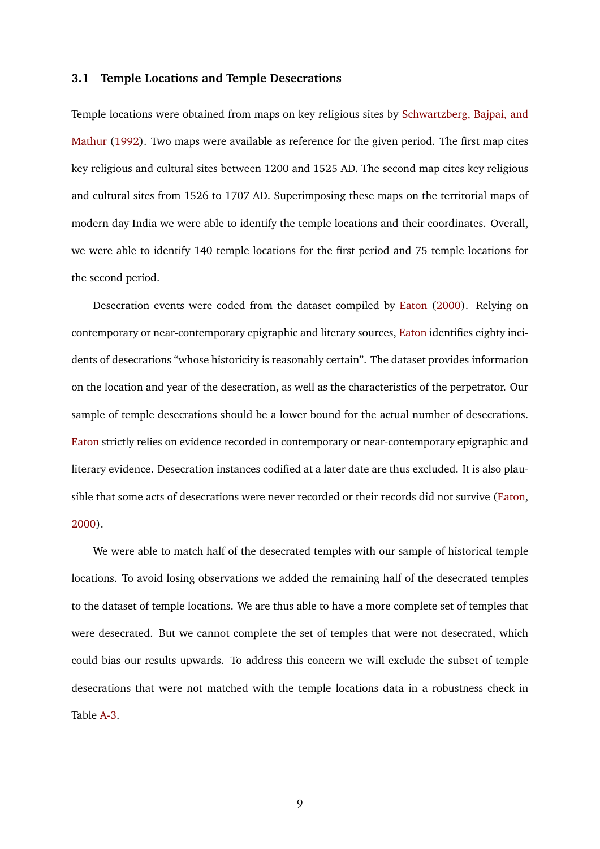#### **3.1 Temple Locations and Temple Desecrations**

Temple locations were obtained from maps on key religious sites by [Schwartzberg, Bajpai, and](#page-39-10) [Mathur](#page-39-10) [\(1992\)](#page-39-10). Two maps were available as reference for the given period. The first map cites key religious and cultural sites between 1200 and 1525 AD. The second map cites key religious and cultural sites from 1526 to 1707 AD. Superimposing these maps on the territorial maps of modern day India we were able to identify the temple locations and their coordinates. Overall, we were able to identify 140 temple locations for the first period and 75 temple locations for the second period.

Desecration events were coded from the dataset compiled by [Eaton](#page-36-1) [\(2000\)](#page-36-1). Relying on contemporary or near-contemporary epigraphic and literary sources, [Eaton](#page-36-1) identifies eighty incidents of desecrations "whose historicity is reasonably certain". The dataset provides information on the location and year of the desecration, as well as the characteristics of the perpetrator. Our sample of temple desecrations should be a lower bound for the actual number of desecrations. [Eaton](#page-36-1) strictly relies on evidence recorded in contemporary or near-contemporary epigraphic and literary evidence. Desecration instances codified at a later date are thus excluded. It is also plausible that some acts of desecrations were never recorded or their records did not survive [\(Eaton,](#page-36-1) [2000\)](#page-36-1).

We were able to match half of the desecrated temples with our sample of historical temple locations. To avoid losing observations we added the remaining half of the desecrated temples to the dataset of temple locations. We are thus able to have a more complete set of temples that were desecrated. But we cannot complete the set of temples that were not desecrated, which could bias our results upwards. To address this concern we will exclude the subset of temple desecrations that were not matched with the temple locations data in a robustness check in Table [A-3.](#page-45-0)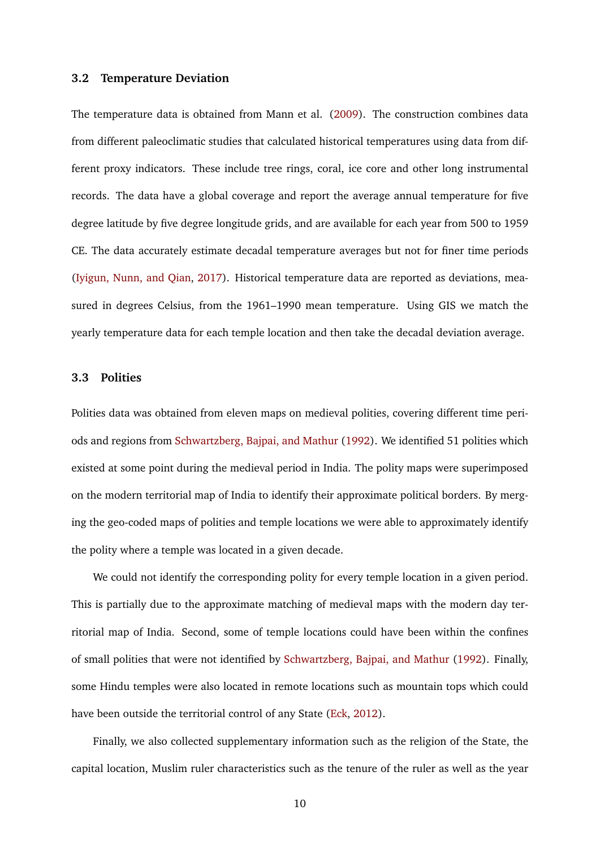#### **3.2 Temperature Deviation**

The temperature data is obtained from Mann et al. [\(2009\)](#page-37-8). The construction combines data from different paleoclimatic studies that calculated historical temperatures using data from different proxy indicators. These include tree rings, coral, ice core and other long instrumental records. The data have a global coverage and report the average annual temperature for five degree latitude by five degree longitude grids, and are available for each year from 500 to 1959 CE. The data accurately estimate decadal temperature averages but not for finer time periods [\(Iyigun, Nunn, and Qian,](#page-37-1) [2017\)](#page-37-1). Historical temperature data are reported as deviations, measured in degrees Celsius, from the 1961–1990 mean temperature. Using GIS we match the yearly temperature data for each temple location and then take the decadal deviation average.

#### **3.3 Polities**

Polities data was obtained from eleven maps on medieval polities, covering different time periods and regions from [Schwartzberg, Bajpai, and Mathur](#page-39-10) [\(1992\)](#page-39-10). We identified 51 polities which existed at some point during the medieval period in India. The polity maps were superimposed on the modern territorial map of India to identify their approximate political borders. By merging the geo-coded maps of polities and temple locations we were able to approximately identify the polity where a temple was located in a given decade.

We could not identify the corresponding polity for every temple location in a given period. This is partially due to the approximate matching of medieval maps with the modern day territorial map of India. Second, some of temple locations could have been within the confines of small polities that were not identified by [Schwartzberg, Bajpai, and Mathur](#page-39-10) [\(1992\)](#page-39-10). Finally, some Hindu temples were also located in remote locations such as mountain tops which could have been outside the territorial control of any State [\(Eck,](#page-36-6) [2012\)](#page-36-6).

Finally, we also collected supplementary information such as the religion of the State, the capital location, Muslim ruler characteristics such as the tenure of the ruler as well as the year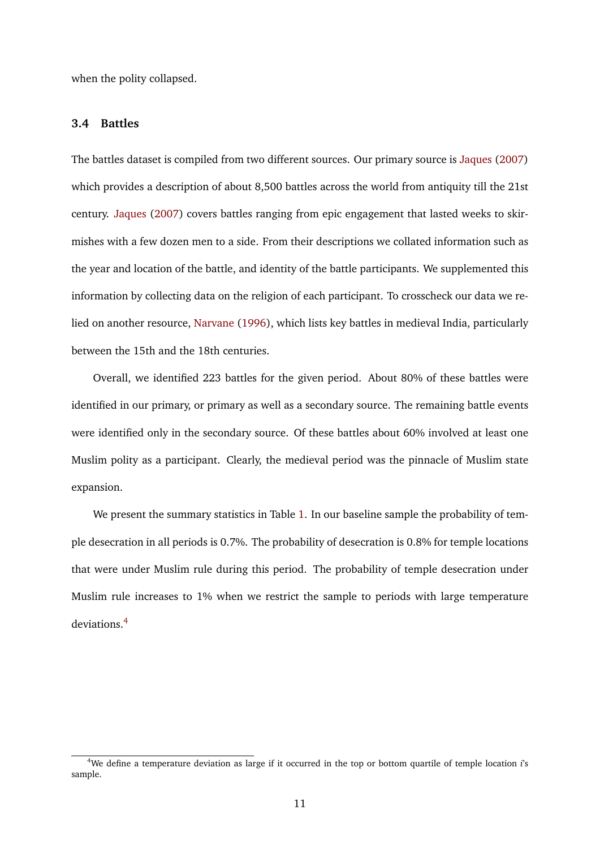when the polity collapsed.

#### **3.4 Battles**

The battles dataset is compiled from two different sources. Our primary source is [Jaques](#page-37-9) [\(2007\)](#page-37-9) which provides a description of about 8,500 battles across the world from antiquity till the 21st century. [Jaques](#page-37-9) [\(2007\)](#page-37-9) covers battles ranging from epic engagement that lasted weeks to skirmishes with a few dozen men to a side. From their descriptions we collated information such as the year and location of the battle, and identity of the battle participants. We supplemented this information by collecting data on the religion of each participant. To crosscheck our data we relied on another resource, [Narvane](#page-38-9) [\(1996\)](#page-38-9), which lists key battles in medieval India, particularly between the 15th and the 18th centuries.

Overall, we identified 223 battles for the given period. About 80% of these battles were identified in our primary, or primary as well as a secondary source. The remaining battle events were identified only in the secondary source. Of these battles about 60% involved at least one Muslim polity as a participant. Clearly, the medieval period was the pinnacle of Muslim state expansion.

We present the summary statistics in Table [1.](#page-13-1) In our baseline sample the probability of temple desecration in all periods is 0.7%. The probability of desecration is 0.8% for temple locations that were under Muslim rule during this period. The probability of temple desecration under Muslim rule increases to 1% when we restrict the sample to periods with large temperature deviations.[4](#page-12-0)

<span id="page-12-0"></span><sup>4</sup>We define a temperature deviation as large if it occurred in the top or bottom quartile of temple location *i*'s sample.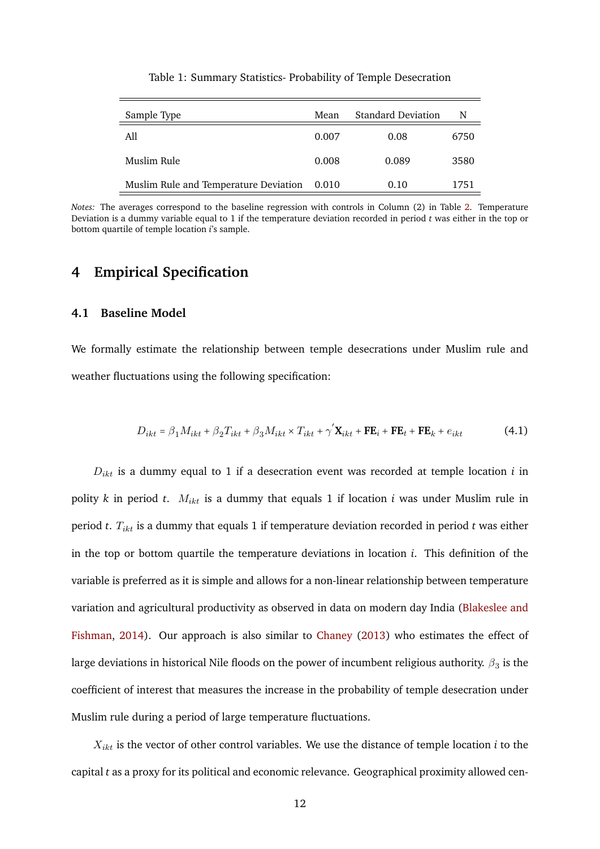<span id="page-13-1"></span>

| Sample Type                           | Mean  | <b>Standard Deviation</b> | N    |
|---------------------------------------|-------|---------------------------|------|
| All                                   | 0.007 | 0.08                      | 6750 |
| Muslim Rule                           | 0.008 | 0.089                     | 3580 |
| Muslim Rule and Temperature Deviation | 0.010 | 0.10                      | 1751 |

Table 1: Summary Statistics- Probability of Temple Desecration

*Notes:* The averages correspond to the baseline regression with controls in Column (2) in Table [2.](#page-17-1) Temperature Deviation is a dummy variable equal to 1 if the temperature deviation recorded in period *t* was either in the top or bottom quartile of temple location *i*'s sample.

### <span id="page-13-0"></span>**4 Empirical Specification**

#### **4.1 Baseline Model**

We formally estimate the relationship between temple desecrations under Muslim rule and weather fluctuations using the following specification:

<span id="page-13-2"></span>
$$
D_{ikt} = \beta_1 M_{ikt} + \beta_2 T_{ikt} + \beta_3 M_{ikt} \times T_{ikt} + \gamma' \mathbf{X}_{ikt} + \mathbf{FE}_i + \mathbf{FE}_t + \mathbf{FE}_k + e_{ikt}
$$
(4.1)

 $D_{ikt}$  is a dummy equal to 1 if a desecration event was recorded at temple location  $i$  in polity *k* in period *t*.  $M_{ikt}$  is a dummy that equals 1 if location *i* was under Muslim rule in period *t*. Tikt is a dummy that equals 1 if temperature deviation recorded in period *t* was either in the top or bottom quartile the temperature deviations in location *i*. This definition of the variable is preferred as it is simple and allows for a non-linear relationship between temperature variation and agricultural productivity as observed in data on modern day India [\(Blakeslee and](#page-35-7) [Fishman,](#page-35-7) [2014\)](#page-35-7). Our approach is also similar to [Chaney](#page-35-2) [\(2013\)](#page-35-2) who estimates the effect of large deviations in historical Nile floods on the power of incumbent religious authority.  $\beta_3$  is the coefficient of interest that measures the increase in the probability of temple desecration under Muslim rule during a period of large temperature fluctuations.

 $X_{ikt}$  is the vector of other control variables. We use the distance of temple location  $i$  to the capital *t* as a proxy for its political and economic relevance. Geographical proximity allowed cen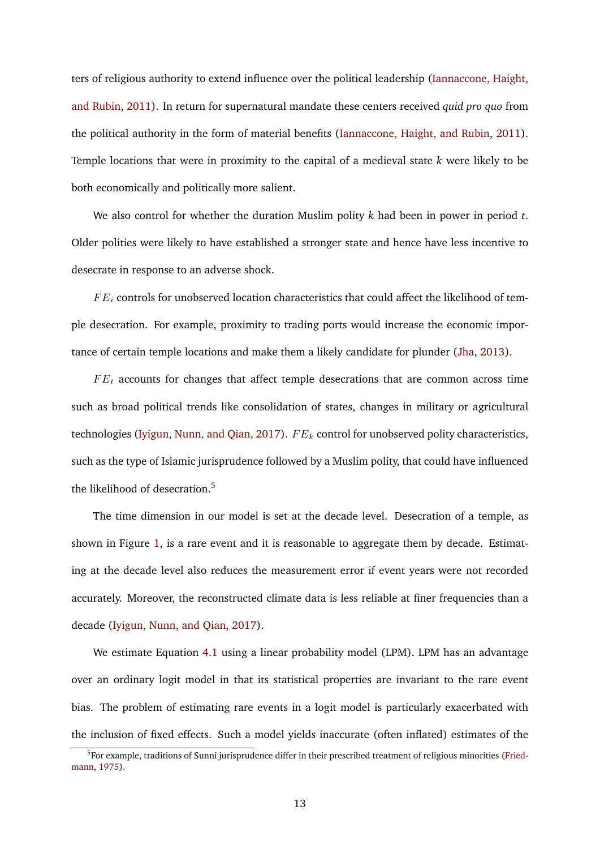ters of religious authority to extend influence over the political leadership [\(Iannaccone, Haight,](#page-37-10) [and Rubin,](#page-37-10) [2011\)](#page-37-10). In return for supernatural mandate these centers received *quid pro quo* from the political authority in the form of material benefits [\(Iannaccone, Haight, and Rubin,](#page-37-10) [2011\)](#page-37-10). Temple locations that were in proximity to the capital of a medieval state *k* were likely to be both economically and politically more salient.

We also control for whether the duration Muslim polity *k* had been in power in period *t*. Older polities were likely to have established a stronger state and hence have less incentive to desecrate in response to an adverse shock.

 $FE_i$  controls for unobserved location characteristics that could affect the likelihood of temple desecration. For example, proximity to trading ports would increase the economic importance of certain temple locations and make them a likely candidate for plunder [\(Jha,](#page-37-6) [2013\)](#page-37-6).

 $FE<sub>t</sub>$  accounts for changes that affect temple desecrations that are common across time such as broad political trends like consolidation of states, changes in military or agricultural technologies [\(Iyigun, Nunn, and Qian,](#page-37-1) [2017\)](#page-37-1).  $FE_k$  control for unobserved polity characteristics, such as the type of Islamic jurisprudence followed by a Muslim polity, that could have influenced the likelihood of desecration.<sup>[5](#page-14-0)</sup>

The time dimension in our model is set at the decade level. Desecration of a temple, as shown in Figure [1,](#page-15-0) is a rare event and it is reasonable to aggregate them by decade. Estimating at the decade level also reduces the measurement error if event years were not recorded accurately. Moreover, the reconstructed climate data is less reliable at finer frequencies than a decade [\(Iyigun, Nunn, and Qian,](#page-37-1) [2017\)](#page-37-1).

We estimate Equation [4.1](#page-13-2) using a linear probability model (LPM). LPM has an advantage over an ordinary logit model in that its statistical properties are invariant to the rare event bias. The problem of estimating rare events in a logit model is particularly exacerbated with the inclusion of fixed effects. Such a model yields inaccurate (often inflated) estimates of the

<span id="page-14-0"></span><sup>&</sup>lt;sup>5</sup>For example, traditions of Sunni jurisprudence differ in their prescribed treatment of religious minorities [\(Fried](#page-36-7)[mann,](#page-36-7) [1975\)](#page-36-7).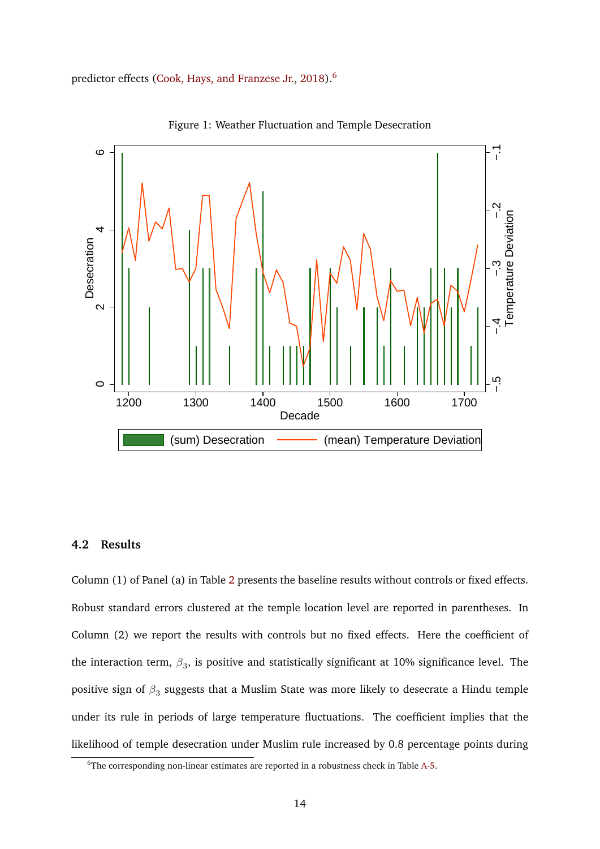<span id="page-15-0"></span>predictor effects [\(Cook, Hays, and Franzese Jr.,](#page-35-8) [2018\)](#page-35-8).<sup>[6](#page-15-1)</sup>



Figure 1: Weather Fluctuation and Temple Desecration

#### **4.2 Results**

Column (1) of Panel (a) in Table [2](#page-17-1) presents the baseline results without controls or fixed effects. Robust standard errors clustered at the temple location level are reported in parentheses. In Column (2) we report the results with controls but no fixed effects. Here the coefficient of the interaction term,  $\beta_3$ , is positive and statistically significant at 10% significance level. The positive sign of  $\beta_3$  suggests that a Muslim State was more likely to desecrate a Hindu temple under its rule in periods of large temperature fluctuations. The coefficient implies that the likelihood of temple desecration under Muslim rule increased by 0.8 percentage points during

<span id="page-15-1"></span><sup>&</sup>lt;sup>6</sup>The corresponding non-linear estimates are reported in a robustness check in Table [A-5.](#page-46-0)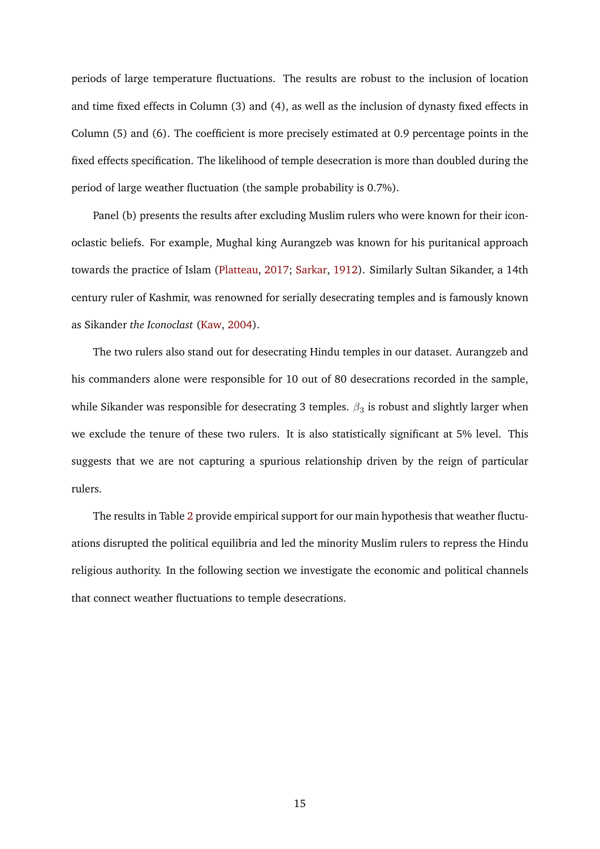periods of large temperature fluctuations. The results are robust to the inclusion of location and time fixed effects in Column (3) and (4), as well as the inclusion of dynasty fixed effects in Column (5) and (6). The coefficient is more precisely estimated at 0.9 percentage points in the fixed effects specification. The likelihood of temple desecration is more than doubled during the period of large weather fluctuation (the sample probability is 0.7%).

Panel (b) presents the results after excluding Muslim rulers who were known for their iconoclastic beliefs. For example, Mughal king Aurangzeb was known for his puritanical approach towards the practice of Islam [\(Platteau,](#page-38-10) [2017;](#page-38-10) [Sarkar,](#page-39-11) [1912\)](#page-39-11). Similarly Sultan Sikander, a 14th century ruler of Kashmir, was renowned for serially desecrating temples and is famously known as Sikander *the Iconoclast* [\(Kaw,](#page-37-11) [2004\)](#page-37-11).

The two rulers also stand out for desecrating Hindu temples in our dataset. Aurangzeb and his commanders alone were responsible for 10 out of 80 desecrations recorded in the sample, while Sikander was responsible for desecrating 3 temples.  $\beta_3$  is robust and slightly larger when we exclude the tenure of these two rulers. It is also statistically significant at 5% level. This suggests that we are not capturing a spurious relationship driven by the reign of particular rulers.

The results in Table [2](#page-17-1) provide empirical support for our main hypothesis that weather fluctuations disrupted the political equilibria and led the minority Muslim rulers to repress the Hindu religious authority. In the following section we investigate the economic and political channels that connect weather fluctuations to temple desecrations.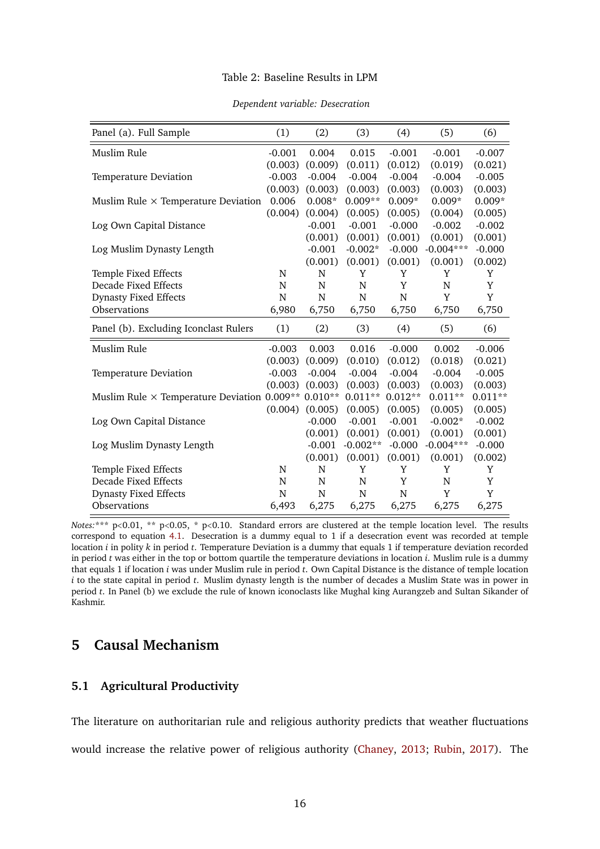#### Table 2: Baseline Results in LPM

<span id="page-17-1"></span>

| Panel (a). Full Sample                                     | (1)      | (2)         | (3)         | (4)       | (5)            | (6)       |
|------------------------------------------------------------|----------|-------------|-------------|-----------|----------------|-----------|
| Muslim Rule                                                | $-0.001$ | 0.004       | 0.015       | $-0.001$  | $-0.001$       | $-0.007$  |
|                                                            | (0.003)  | (0.009)     | (0.011)     | (0.012)   | (0.019)        | (0.021)   |
| <b>Temperature Deviation</b>                               | $-0.003$ | $-0.004$    | $-0.004$    | $-0.004$  | $-0.004$       | $-0.005$  |
|                                                            | (0.003)  | (0.003)     | (0.003)     | (0.003)   | (0.003)        | (0.003)   |
| Muslim Rule $\times$ Temperature Deviation                 | 0.006    | $0.008*$    | $0.009**$   | $0.009*$  | $0.009*$       | $0.009*$  |
|                                                            | (0.004)  | (0.004)     | (0.005)     | (0.005)   | (0.004)        | (0.005)   |
| Log Own Capital Distance                                   |          | $-0.001$    | $-0.001$    | $-0.000$  | $-0.002$       | $-0.002$  |
|                                                            |          | (0.001)     | (0.001)     | (0.001)   | (0.001)        | (0.001)   |
| Log Muslim Dynasty Length                                  |          | $-0.001$    | $-0.002*$   | $-0.000$  | $-0.004***$    | $-0.000$  |
|                                                            |          | (0.001)     | (0.001)     | (0.001)   | (0.001)        | (0.002)   |
| Temple Fixed Effects                                       | N        | N           | Y           | Y         | Y              | Y         |
| Decade Fixed Effects                                       | N        | $\mathbf N$ | $\mathbf N$ | Y         | $\overline{N}$ | Y         |
| <b>Dynasty Fixed Effects</b>                               | N        | N           | N           | N         | Y              | Y         |
| Observations                                               | 6,980    | 6,750       | 6,750       | 6,750     | 6,750          | 6,750     |
| Panel (b). Excluding Iconclast Rulers                      | (1)      | (2)         | (3)         | (4)       | (5)            | (6)       |
| Muslim Rule                                                | $-0.003$ | 0.003       | 0.016       | $-0.000$  | 0.002          | $-0.006$  |
|                                                            | (0.003)  | (0.009)     | (0.010)     | (0.012)   | (0.018)        | (0.021)   |
| Temperature Deviation                                      | $-0.003$ | $-0.004$    | $-0.004$    | $-0.004$  | $-0.004$       | $-0.005$  |
|                                                            | (0.003)  | (0.003)     | (0.003)     | (0.003)   | (0.003)        | (0.003)   |
| Muslim Rule $\times$ Temperature Deviation 0.009** 0.010** |          |             | $0.011**$   | $0.012**$ | $0.011**$      | $0.011**$ |
|                                                            | (0.004)  | (0.005)     | (0.005)     | (0.005)   | (0.005)        | (0.005)   |
| Log Own Capital Distance                                   |          | $-0.000$    | $-0.001$    | $-0.001$  | $-0.002*$      | $-0.002$  |
|                                                            |          | (0.001)     | (0.001)     | (0.001)   | (0.001)        | (0.001)   |
| Log Muslim Dynasty Length                                  |          | $-0.001$    | $-0.002**$  | $-0.000$  | $-0.004***$    | $-0.000$  |
|                                                            |          | (0.001)     | (0.001)     | (0.001)   | (0.001)        | (0.002)   |
| Temple Fixed Effects                                       | N        | N           | Y           | Y         | Y              | Y         |
| Decade Fixed Effects                                       | N        | N           | N           | Y         | N              | Y         |
| <b>Dynasty Fixed Effects</b>                               | N        | N           | N           | N         | Y              | Y         |
| Observations                                               | 6,493    | 6,275       | 6,275       | 6,275     | 6,275          | 6,275     |

#### *Dependent variable: Desecration*

*Notes:*\*\*\* p<0.01, \*\* p<0.05, \* p<0.10. Standard errors are clustered at the temple location level. The results correspond to equation [4.1.](#page-13-2) Desecration is a dummy equal to 1 if a desecration event was recorded at temple location *i* in polity *k* in period *t*. Temperature Deviation is a dummy that equals 1 if temperature deviation recorded in period *t* was either in the top or bottom quartile the temperature deviations in location *i*. Muslim rule is a dummy that equals 1 if location *i* was under Muslim rule in period *t*. Own Capital Distance is the distance of temple location *i* to the state capital in period *t*. Muslim dynasty length is the number of decades a Muslim State was in power in period *t*. In Panel (b) we exclude the rule of known iconoclasts like Mughal king Aurangzeb and Sultan Sikander of Kashmir.

# <span id="page-17-0"></span>**5 Causal Mechanism**

### **5.1 Agricultural Productivity**

The literature on authoritarian rule and religious authority predicts that weather fluctuations would increase the relative power of religious authority [\(Chaney,](#page-35-2) [2013;](#page-35-2) [Rubin,](#page-39-0) [2017\)](#page-39-0). The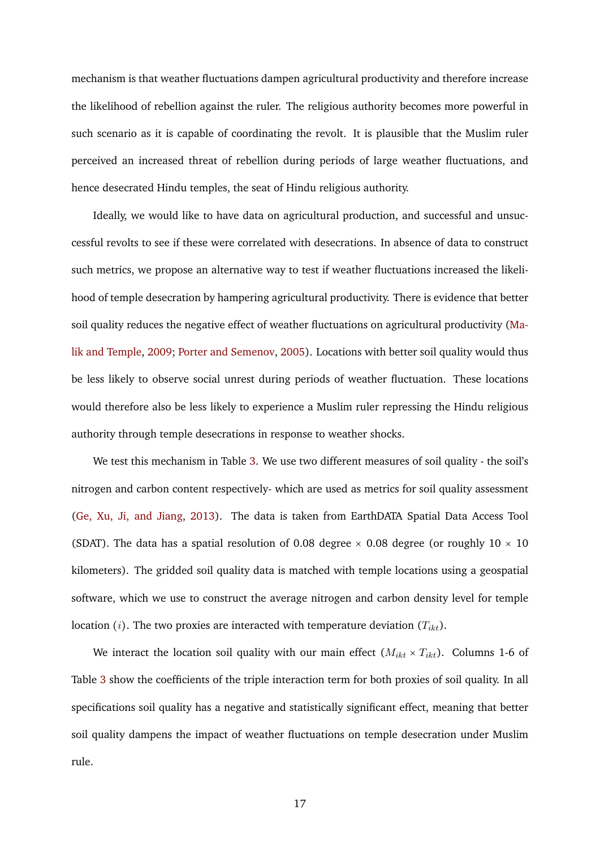mechanism is that weather fluctuations dampen agricultural productivity and therefore increase the likelihood of rebellion against the ruler. The religious authority becomes more powerful in such scenario as it is capable of coordinating the revolt. It is plausible that the Muslim ruler perceived an increased threat of rebellion during periods of large weather fluctuations, and hence desecrated Hindu temples, the seat of Hindu religious authority.

Ideally, we would like to have data on agricultural production, and successful and unsuccessful revolts to see if these were correlated with desecrations. In absence of data to construct such metrics, we propose an alternative way to test if weather fluctuations increased the likelihood of temple desecration by hampering agricultural productivity. There is evidence that better soil quality reduces the negative effect of weather fluctuations on agricultural productivity [\(Ma](#page-37-0)[lik and Temple,](#page-37-0) [2009;](#page-37-0) [Porter and Semenov,](#page-38-0) [2005\)](#page-38-0). Locations with better soil quality would thus be less likely to observe social unrest during periods of weather fluctuation. These locations would therefore also be less likely to experience a Muslim ruler repressing the Hindu religious authority through temple desecrations in response to weather shocks.

We test this mechanism in Table [3.](#page-19-0) We use two different measures of soil quality - the soil's nitrogen and carbon content respectively- which are used as metrics for soil quality assessment [\(Ge, Xu, Ji, and Jiang,](#page-36-8) [2013\)](#page-36-8). The data is taken from EarthDATA Spatial Data Access Tool (SDAT). The data has a spatial resolution of 0.08 degree  $\times$  0.08 degree (or roughly 10  $\times$  10 kilometers). The gridded soil quality data is matched with temple locations using a geospatial software, which we use to construct the average nitrogen and carbon density level for temple location (*i*). The two proxies are interacted with temperature deviation  $(T_{ikt})$ .

We interact the location soil quality with our main effect  $(M_{ikt} \times T_{ikt})$ . Columns 1-6 of Table [3](#page-19-0) show the coefficients of the triple interaction term for both proxies of soil quality. In all specifications soil quality has a negative and statistically significant effect, meaning that better soil quality dampens the impact of weather fluctuations on temple desecration under Muslim rule.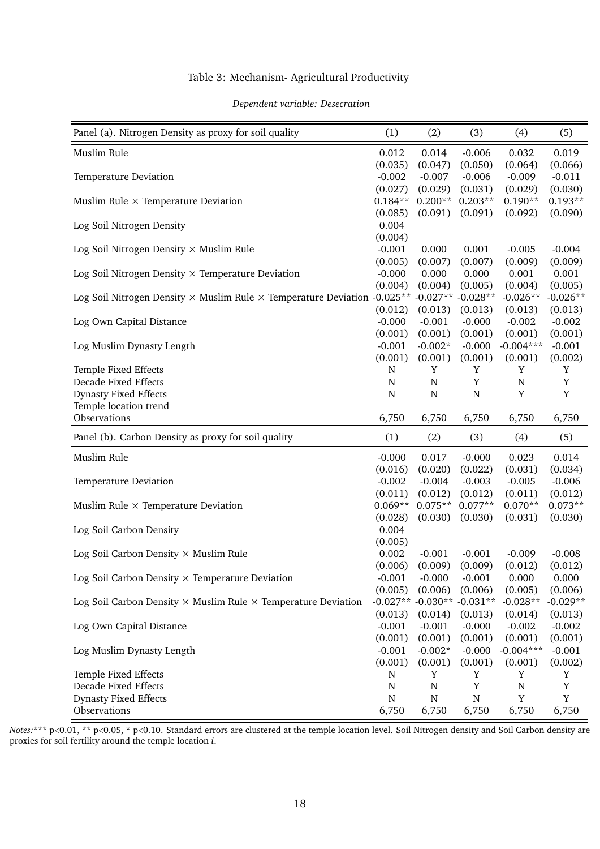#### Table 3: Mechanism- Agricultural Productivity

#### *Dependent variable: Desecration*

<span id="page-19-0"></span>

| Panel (a). Nitrogen Density as proxy for soil quality                                              | (1)         | (2)         | (3)         | (4)         | (5)        |
|----------------------------------------------------------------------------------------------------|-------------|-------------|-------------|-------------|------------|
| Muslim Rule                                                                                        | 0.012       | 0.014       | $-0.006$    | 0.032       | 0.019      |
|                                                                                                    | (0.035)     | (0.047)     | (0.050)     | (0.064)     | (0.066)    |
| Temperature Deviation                                                                              | $-0.002$    | $-0.007$    | $-0.006$    | $-0.009$    | $-0.011$   |
|                                                                                                    | (0.027)     | (0.029)     | (0.031)     | (0.029)     | (0.030)    |
| Muslim Rule $\times$ Temperature Deviation                                                         | $0.184**$   | $0.200**$   | $0.203**$   | $0.190**$   | $0.193**$  |
|                                                                                                    | (0.085)     | (0.091)     | (0.091)     | (0.092)     | (0.090)    |
| Log Soil Nitrogen Density                                                                          | 0.004       |             |             |             |            |
|                                                                                                    | (0.004)     |             |             |             |            |
| Log Soil Nitrogen Density $\times$ Muslim Rule                                                     | $-0.001$    | 0.000       | 0.001       | $-0.005$    | $-0.004$   |
|                                                                                                    | (0.005)     | (0.007)     | (0.007)     | (0.009)     | (0.009)    |
| Log Soil Nitrogen Density $\times$ Temperature Deviation                                           | $-0.000$    | 0.000       | 0.000       | 0.001       | 0.001      |
|                                                                                                    | (0.004)     | (0.004)     | (0.005)     | (0.004)     | (0.005)    |
| Log Soil Nitrogen Density $\times$ Muslim Rule $\times$ Temperature Deviation -0.025 <sup>**</sup> |             | $-0.027**$  | $-0.028**$  | $-0.026**$  | $-0.026**$ |
|                                                                                                    | (0.012)     | (0.013)     | (0.013)     | (0.013)     | (0.013)    |
| Log Own Capital Distance                                                                           | $-0.000$    | $-0.001$    | $-0.000$    | $-0.002$    | $-0.002$   |
|                                                                                                    | (0.001)     | (0.001)     | (0.001)     | (0.001)     | (0.001)    |
| Log Muslim Dynasty Length                                                                          | $-0.001$    | $-0.002*$   | $-0.000$    | $-0.004***$ | $-0.001$   |
|                                                                                                    | (0.001)     | (0.001)     | (0.001)     | (0.001)     | (0.002)    |
| Temple Fixed Effects                                                                               | N           | Y           | Y           | Y           | Y          |
| <b>Decade Fixed Effects</b>                                                                        | $\mathbf N$ | $\mathbf N$ | Y           | $\mathbf N$ | Y          |
| <b>Dynasty Fixed Effects</b>                                                                       | $\mathbf N$ | $\mathbf N$ | ${\bf N}$   | Y           | Y          |
| Temple location trend                                                                              |             |             |             |             |            |
| Observations                                                                                       | 6,750       | 6,750       | 6,750       | 6,750       | 6,750      |
| Panel (b). Carbon Density as proxy for soil quality                                                | (1)         | (2)         | (3)         | (4)         | (5)        |
| Muslim Rule                                                                                        | $-0.000$    | 0.017       | $-0.000$    | 0.023       | 0.014      |
|                                                                                                    | (0.016)     | (0.020)     | (0.022)     | (0.031)     | (0.034)    |
| Temperature Deviation                                                                              | $-0.002$    | $-0.004$    | $-0.003$    | $-0.005$    | $-0.006$   |
|                                                                                                    | (0.011)     | (0.012)     | (0.012)     | (0.011)     | (0.012)    |
| Muslim Rule $\times$ Temperature Deviation                                                         | $0.069**$   | $0.075**$   | $0.077**$   | $0.070**$   | $0.073**$  |
|                                                                                                    | (0.028)     | (0.030)     | (0.030)     | (0.031)     | (0.030)    |
| Log Soil Carbon Density                                                                            | 0.004       |             |             |             |            |
|                                                                                                    | (0.005)     |             |             |             |            |
| Log Soil Carbon Density $\times$ Muslim Rule                                                       | 0.002       | $-0.001$    | $-0.001$    | $-0.009$    | $-0.008$   |
|                                                                                                    | (0.006)     | (0.009)     | (0.009)     | (0.012)     | (0.012)    |
| Log Soil Carbon Density $\times$ Temperature Deviation                                             | $-0.001$    | $-0.000$    | $-0.001$    | 0.000       | 0.000      |
|                                                                                                    | (0.005)     | (0.006)     | (0.006)     | (0.005)     | (0.006)    |
| Log Soil Carbon Density $\times$ Muslim Rule $\times$ Temperature Deviation                        | $-0.027**$  | $-0.030**$  | $-0.031**$  | $-0.028**$  | $-0.029**$ |
|                                                                                                    | (0.013)     | (0.014)     | (0.013)     | (0.014)     | (0.013)    |
| Log Own Capital Distance                                                                           | $-0.001$    | $-0.001$    | $-0.000$    | $-0.002$    | $-0.002$   |
|                                                                                                    | (0.001)     | (0.001)     | (0.001)     | (0.001)     | (0.001)    |
| Log Muslim Dynasty Length                                                                          | $-0.001$    | $-0.002*$   | $-0.000$    | $-0.004***$ | $-0.001$   |
|                                                                                                    | (0.001)     | (0.001)     | (0.001)     | (0.001)     | (0.002)    |
| Temple Fixed Effects                                                                               | N           | Y           | Y           | Y           | Y          |
| <b>Decade Fixed Effects</b>                                                                        | $\mathbf N$ | $\mathbf N$ | $\mathbf Y$ | $\mathbf N$ | Y          |
| <b>Dynasty Fixed Effects</b>                                                                       | $\mathbf N$ | ${\bf N}$   | ${\bf N}$   | Y           | Y          |
| Observations                                                                                       | 6,750       | 6,750       | 6,750       | 6,750       | 6,750      |

*Notes:*\*\*\* p<0.01, \*\* p<0.05, \* p<0.10. Standard errors are clustered at the temple location level. Soil Nitrogen density and Soil Carbon density are proxies for soil fertility around the temple location *i*.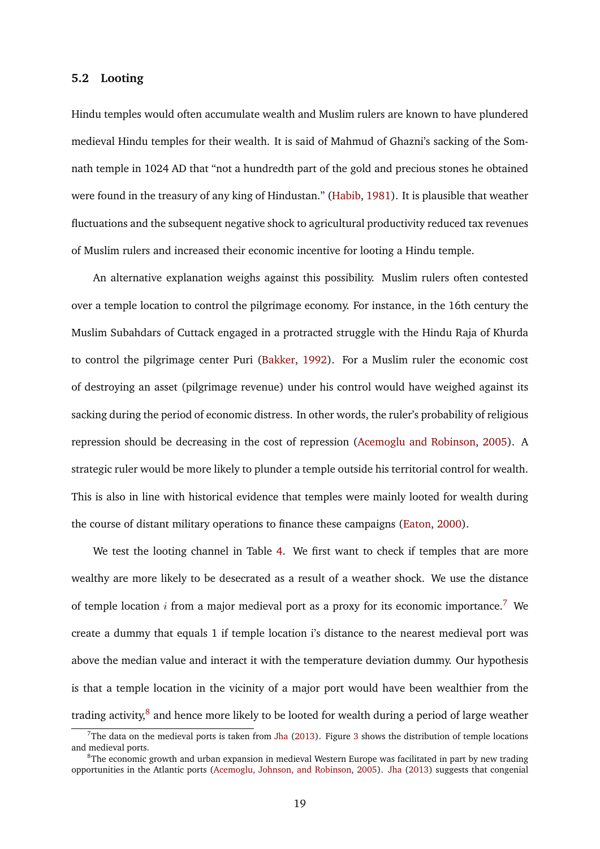#### **5.2 Looting**

Hindu temples would often accumulate wealth and Muslim rulers are known to have plundered medieval Hindu temples for their wealth. It is said of Mahmud of Ghazni's sacking of the Somnath temple in 1024 AD that "not a hundredth part of the gold and precious stones he obtained were found in the treasury of any king of Hindustan." [\(Habib,](#page-36-9) [1981\)](#page-36-9). It is plausible that weather fluctuations and the subsequent negative shock to agricultural productivity reduced tax revenues of Muslim rulers and increased their economic incentive for looting a Hindu temple.

An alternative explanation weighs against this possibility. Muslim rulers often contested over a temple location to control the pilgrimage economy. For instance, in the 16th century the Muslim Subahdars of Cuttack engaged in a protracted struggle with the Hindu Raja of Khurda to control the pilgrimage center Puri [\(Bakker,](#page-34-9) [1992\)](#page-34-9). For a Muslim ruler the economic cost of destroying an asset (pilgrimage revenue) under his control would have weighed against its sacking during the period of economic distress. In other words, the ruler's probability of religious repression should be decreasing in the cost of repression [\(Acemoglu and Robinson,](#page-34-1) [2005\)](#page-34-1). A strategic ruler would be more likely to plunder a temple outside his territorial control for wealth. This is also in line with historical evidence that temples were mainly looted for wealth during the course of distant military operations to finance these campaigns [\(Eaton,](#page-36-1) [2000\)](#page-36-1).

We test the looting channel in Table [4.](#page-22-0) We first want to check if temples that are more wealthy are more likely to be desecrated as a result of a weather shock. We use the distance of temple location i from a major medieval port as a proxy for its economic importance.<sup>[7](#page-20-0)</sup> We create a dummy that equals 1 if temple location i's distance to the nearest medieval port was above the median value and interact it with the temperature deviation dummy. Our hypothesis is that a temple location in the vicinity of a major port would have been wealthier from the trading activity,<sup>[8](#page-20-1)</sup> and hence more likely to be looted for wealth during a period of large weather

<span id="page-20-0"></span><sup>&</sup>lt;sup>7</sup>The data on the medieval ports is taken from [Jha](#page-37-6) [\(2013\)](#page-37-6). Figure [3](#page-42-0) shows the distribution of temple locations and medieval ports.

<span id="page-20-1"></span> $8$ The economic growth and urban expansion in medieval Western Europe was facilitated in part by new trading opportunities in the Atlantic ports [\(Acemoglu, Johnson, and Robinson,](#page-34-10) [2005\)](#page-34-10). [Jha](#page-37-6) [\(2013\)](#page-37-6) suggests that congenial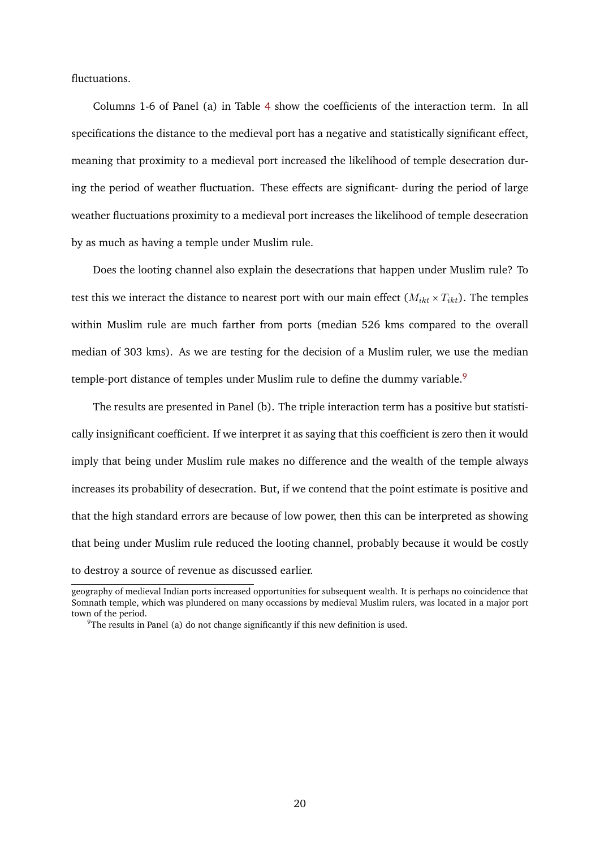fluctuations.

Columns 1-6 of Panel (a) in Table [4](#page-22-0) show the coefficients of the interaction term. In all specifications the distance to the medieval port has a negative and statistically significant effect, meaning that proximity to a medieval port increased the likelihood of temple desecration during the period of weather fluctuation. These effects are significant- during the period of large weather fluctuations proximity to a medieval port increases the likelihood of temple desecration by as much as having a temple under Muslim rule.

Does the looting channel also explain the desecrations that happen under Muslim rule? To test this we interact the distance to nearest port with our main effect  $(M_{ikt} \times T_{ikt})$ . The temples within Muslim rule are much farther from ports (median 526 kms compared to the overall median of 303 kms). As we are testing for the decision of a Muslim ruler, we use the median temple-port distance of temples under Muslim rule to define the dummy variable.<sup>[9](#page-21-0)</sup>

The results are presented in Panel (b). The triple interaction term has a positive but statistically insignificant coefficient. If we interpret it as saying that this coefficient is zero then it would imply that being under Muslim rule makes no difference and the wealth of the temple always increases its probability of desecration. But, if we contend that the point estimate is positive and that the high standard errors are because of low power, then this can be interpreted as showing that being under Muslim rule reduced the looting channel, probably because it would be costly to destroy a source of revenue as discussed earlier.

geography of medieval Indian ports increased opportunities for subsequent wealth. It is perhaps no coincidence that Somnath temple, which was plundered on many occassions by medieval Muslim rulers, was located in a major port town of the period.

<span id="page-21-0"></span> $9^9$ The results in Panel (a) do not change significantly if this new definition is used.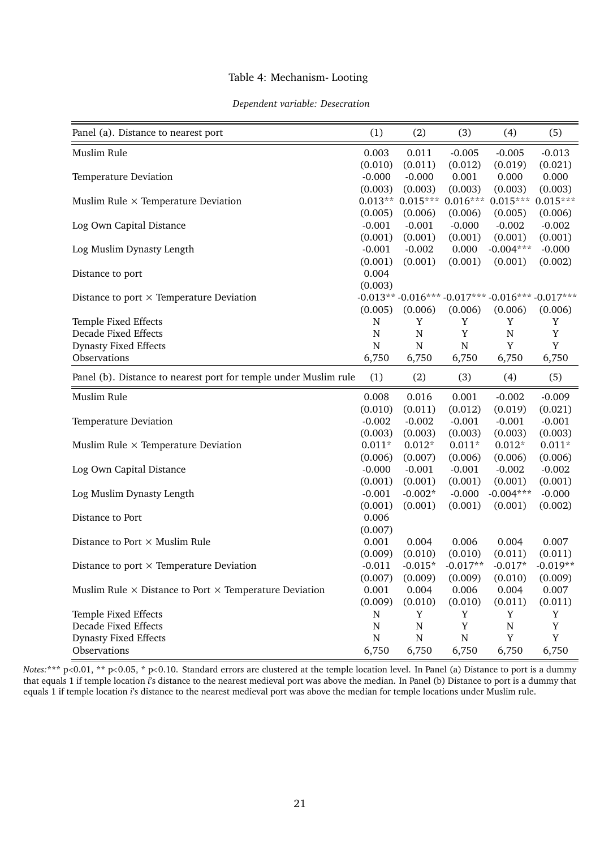#### Table 4: Mechanism- Looting

#### *Dependent variable: Desecration*

<span id="page-22-0"></span>

| Panel (a). Distance to nearest port                                  | (1)         | (2)         | (3)        | (4)                                              | (5)         |
|----------------------------------------------------------------------|-------------|-------------|------------|--------------------------------------------------|-------------|
| Muslim Rule                                                          | 0.003       | 0.011       | $-0.005$   | $-0.005$                                         | $-0.013$    |
|                                                                      | (0.010)     | (0.011)     | (0.012)    | (0.019)                                          | (0.021)     |
| Temperature Deviation                                                | $-0.000$    | $-0.000$    | 0.001      | 0.000                                            | 0.000       |
|                                                                      | (0.003)     | (0.003)     | (0.003)    | (0.003)                                          | (0.003)     |
| Muslim Rule $\times$ Temperature Deviation                           | $0.013**$   | $0.015***$  |            | $0.016***$ 0.015***                              | $0.015***$  |
|                                                                      | (0.005)     | (0.006)     | (0.006)    | (0.005)                                          | (0.006)     |
| Log Own Capital Distance                                             | $-0.001$    | $-0.001$    | $-0.000$   | $-0.002$                                         | $-0.002$    |
|                                                                      | (0.001)     | (0.001)     | (0.001)    | (0.001)                                          | (0.001)     |
| Log Muslim Dynasty Length                                            | $-0.001$    | $-0.002$    | 0.000      | $-0.004***$                                      | $-0.000$    |
|                                                                      | (0.001)     | (0.001)     | (0.001)    | (0.001)                                          | (0.002)     |
| Distance to port                                                     | 0.004       |             |            |                                                  |             |
|                                                                      | (0.003)     |             |            |                                                  |             |
| Distance to port $\times$ Temperature Deviation                      |             |             |            | -0.013** -0.016*** -0.017*** -0.016*** -0.017*** |             |
|                                                                      | (0.005)     | (0.006)     | (0.006)    | (0.006)                                          | (0.006)     |
| Temple Fixed Effects                                                 | N           | Y           | Y          | Y                                                | Y           |
| Decade Fixed Effects                                                 | ${\bf N}$   | ${\bf N}$   | Y          | $\mathbf N$                                      | $\mathbf Y$ |
| <b>Dynasty Fixed Effects</b>                                         | ${\bf N}$   | ${\bf N}$   | N          | Y                                                | $\mathbf Y$ |
| Observations                                                         | 6,750       | 6,750       | 6,750      | 6,750                                            | 6,750       |
| Panel (b). Distance to nearest port for temple under Muslim rule     | (1)         | (2)         | (3)        | (4)                                              | (5)         |
| Muslim Rule                                                          | 0.008       | 0.016       | 0.001      | $-0.002$                                         | $-0.009$    |
|                                                                      | (0.010)     | (0.011)     | (0.012)    | (0.019)                                          | (0.021)     |
| Temperature Deviation                                                | $-0.002$    | $-0.002$    | $-0.001$   | $-0.001$                                         | $-0.001$    |
|                                                                      | (0.003)     | (0.003)     | (0.003)    | (0.003)                                          | (0.003)     |
| Muslim Rule $\times$ Temperature Deviation                           | $0.011*$    | $0.012*$    | $0.011*$   | $0.012*$                                         | $0.011*$    |
|                                                                      | (0.006)     | (0.007)     | (0.006)    | (0.006)                                          | (0.006)     |
| Log Own Capital Distance                                             | $-0.000$    | $-0.001$    | $-0.001$   | $-0.002$                                         | $-0.002$    |
|                                                                      | (0.001)     | (0.001)     | (0.001)    | (0.001)                                          | (0.001)     |
| Log Muslim Dynasty Length                                            | $-0.001$    | $-0.002*$   | $-0.000$   | $-0.004***$                                      | $-0.000$    |
|                                                                      | (0.001)     | (0.001)     | (0.001)    | (0.001)                                          | (0.002)     |
| Distance to Port                                                     | 0.006       |             |            |                                                  |             |
|                                                                      | (0.007)     |             |            |                                                  |             |
| Distance to Port $\times$ Muslim Rule                                | 0.001       | 0.004       | 0.006      | 0.004                                            | 0.007       |
|                                                                      | (0.009)     | (0.010)     | (0.010)    | (0.011)                                          | (0.011)     |
| Distance to port $\times$ Temperature Deviation                      | $-0.011$    | $-0.015*$   | $-0.017**$ | $-0.017*$                                        | $-0.019**$  |
|                                                                      | (0.007)     | (0.009)     | (0.009)    | (0.010)                                          | (0.009)     |
| Muslim Rule $\times$ Distance to Port $\times$ Temperature Deviation | 0.001       | 0.004       | 0.006      | 0.004                                            | 0.007       |
|                                                                      | (0.009)     | (0.010)     | (0.010)    | (0.011)                                          | (0.011)     |
| Temple Fixed Effects                                                 | N           | Y           | Y          | Y                                                | Y           |
| Decade Fixed Effects                                                 | $\mathbf N$ | $\mathbf N$ | Y          | $\mathbf N$                                      | Y           |
| <b>Dynasty Fixed Effects</b>                                         | ${\bf N}$   | ${\bf N}$   | N          | Y                                                | Y           |
| Observations                                                         | 6,750       | 6,750       | 6,750      | 6,750                                            | 6,750       |

*Notes:*\*\*\* p<0.01, \*\* p<0.05, \* p<0.10. Standard errors are clustered at the temple location level. In Panel (a) Distance to port is a dummy that equals 1 if temple location *i*'s distance to the nearest medieval port was above the median. In Panel (b) Distance to port is a dummy that equals 1 if temple location *i*'s distance to the nearest medieval port was above the median for temple locations under Muslim rule.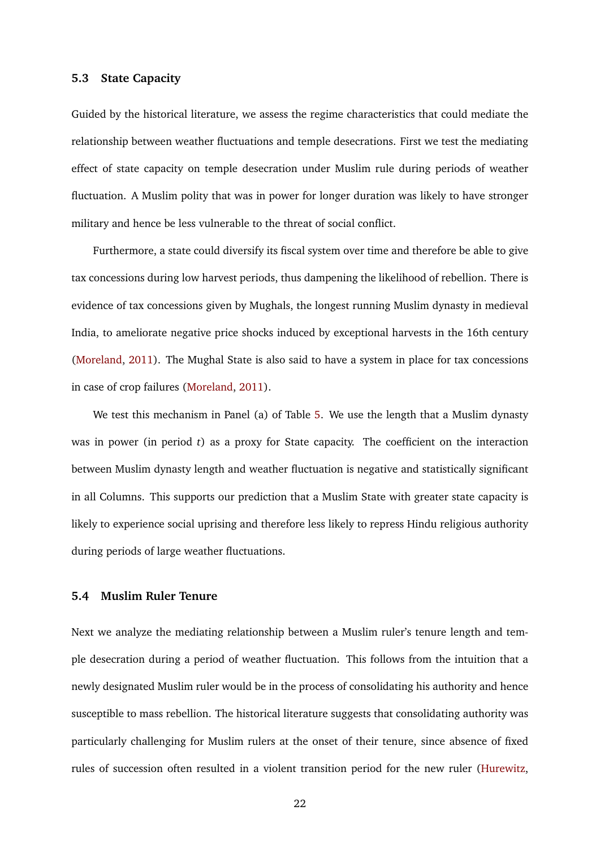#### **5.3 State Capacity**

Guided by the historical literature, we assess the regime characteristics that could mediate the relationship between weather fluctuations and temple desecrations. First we test the mediating effect of state capacity on temple desecration under Muslim rule during periods of weather fluctuation. A Muslim polity that was in power for longer duration was likely to have stronger military and hence be less vulnerable to the threat of social conflict.

Furthermore, a state could diversify its fiscal system over time and therefore be able to give tax concessions during low harvest periods, thus dampening the likelihood of rebellion. There is evidence of tax concessions given by Mughals, the longest running Muslim dynasty in medieval India, to ameliorate negative price shocks induced by exceptional harvests in the 16th century [\(Moreland,](#page-38-1) [2011\)](#page-38-1). The Mughal State is also said to have a system in place for tax concessions in case of crop failures [\(Moreland,](#page-38-1) [2011\)](#page-38-1).

We test this mechanism in Panel (a) of Table [5.](#page-25-0) We use the length that a Muslim dynasty was in power (in period *t*) as a proxy for State capacity. The coefficient on the interaction between Muslim dynasty length and weather fluctuation is negative and statistically significant in all Columns. This supports our prediction that a Muslim State with greater state capacity is likely to experience social uprising and therefore less likely to repress Hindu religious authority during periods of large weather fluctuations.

#### **5.4 Muslim Ruler Tenure**

Next we analyze the mediating relationship between a Muslim ruler's tenure length and temple desecration during a period of weather fluctuation. This follows from the intuition that a newly designated Muslim ruler would be in the process of consolidating his authority and hence susceptible to mass rebellion. The historical literature suggests that consolidating authority was particularly challenging for Muslim rulers at the onset of their tenure, since absence of fixed rules of succession often resulted in a violent transition period for the new ruler [\(Hurewitz,](#page-36-10)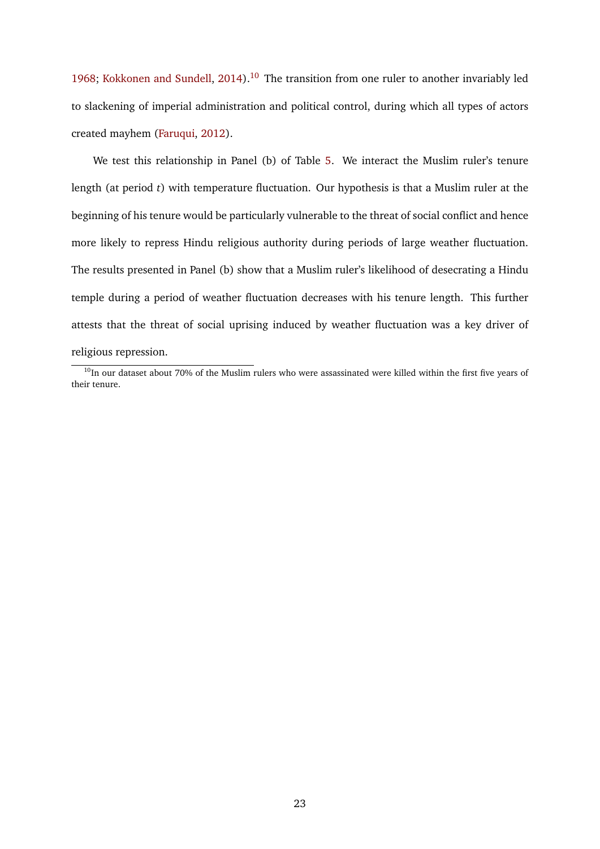[1968;](#page-36-10) [Kokkonen and Sundell,](#page-37-12) [2014\)](#page-37-12).<sup>[10](#page-24-0)</sup> The transition from one ruler to another invariably led to slackening of imperial administration and political control, during which all types of actors created mayhem [\(Faruqui,](#page-36-0) [2012\)](#page-36-0).

We test this relationship in Panel (b) of Table [5.](#page-25-0) We interact the Muslim ruler's tenure length (at period *t*) with temperature fluctuation. Our hypothesis is that a Muslim ruler at the beginning of his tenure would be particularly vulnerable to the threat of social conflict and hence more likely to repress Hindu religious authority during periods of large weather fluctuation. The results presented in Panel (b) show that a Muslim ruler's likelihood of desecrating a Hindu temple during a period of weather fluctuation decreases with his tenure length. This further attests that the threat of social uprising induced by weather fluctuation was a key driver of religious repression.

<span id="page-24-0"></span> $10$ In our dataset about 70% of the Muslim rulers who were assassinated were killed within the first five years of their tenure.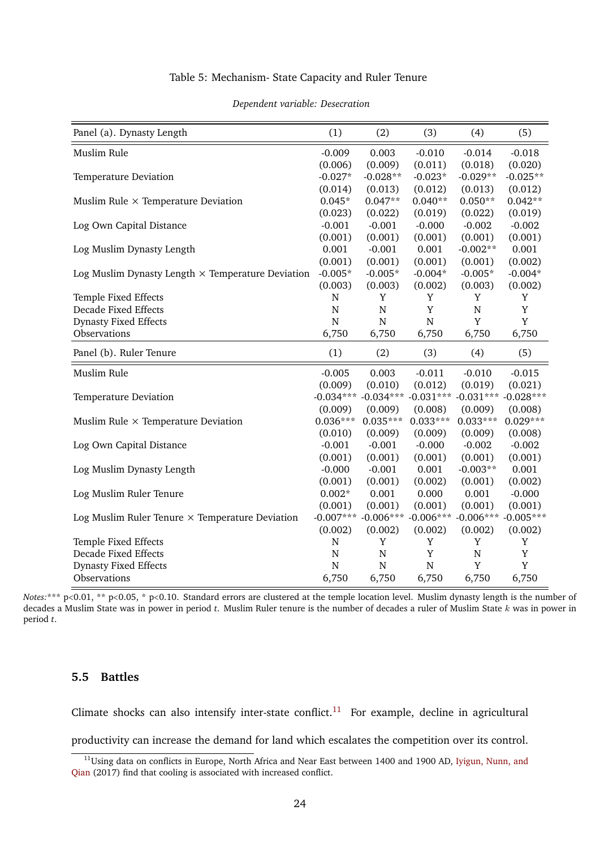#### Table 5: Mechanism- State Capacity and Ruler Tenure

<span id="page-25-0"></span>

| Panel (a). Dynasty Length                                | (1)            | (2)                                             | (3)         | (4)                                 | (5)         |
|----------------------------------------------------------|----------------|-------------------------------------------------|-------------|-------------------------------------|-------------|
| Muslim Rule                                              | $-0.009$       | 0.003                                           | $-0.010$    | $-0.014$                            | $-0.018$    |
|                                                          | (0.006)        | (0.009)                                         | (0.011)     | (0.018)                             | (0.020)     |
| Temperature Deviation                                    | $-0.027*$      | $-0.028**$                                      | $-0.023*$   | $-0.029**$                          | $-0.025**$  |
|                                                          | (0.014)        | (0.013)                                         | (0.012)     | (0.013)                             | (0.012)     |
| Muslim Rule $\times$ Temperature Deviation               | $0.045*$       | $0.047**$                                       | $0.040**$   | $0.050**$                           | $0.042**$   |
|                                                          | (0.023)        | (0.022)                                         | (0.019)     | (0.022)                             | (0.019)     |
| Log Own Capital Distance                                 | $-0.001$       | $-0.001$                                        | $-0.000$    | $-0.002$                            | $-0.002$    |
|                                                          | (0.001)        | (0.001)                                         | (0.001)     | (0.001)                             | (0.001)     |
| Log Muslim Dynasty Length                                | 0.001          | $-0.001$                                        | 0.001       | $-0.002**$                          | 0.001       |
|                                                          | (0.001)        | (0.001)                                         | (0.001)     | (0.001)                             | (0.002)     |
| Log Muslim Dynasty Length $\times$ Temperature Deviation | $-0.005*$      | $-0.005*$                                       | $-0.004*$   | $-0.005*$                           | $-0.004*$   |
|                                                          | (0.003)        | (0.003)                                         | (0.002)     | (0.003)                             | (0.002)     |
| Temple Fixed Effects                                     | $\overline{N}$ | $\mathbf Y$                                     | $\mathbf Y$ | Y                                   | Y           |
| <b>Decade Fixed Effects</b>                              | $\overline{N}$ | ${\bf N}$                                       | Y           | $\mathbf N$                         | Y           |
| <b>Dynasty Fixed Effects</b>                             | $\mathbf N$    | $\mathbf N$                                     | ${\bf N}$   | Y                                   | Y           |
| Observations                                             | 6,750          | 6,750                                           | 6,750       | 6,750                               | 6,750       |
| Panel (b). Ruler Tenure                                  | (1)            | (2)                                             | (3)         | (4)                                 | (5)         |
| Muslim Rule                                              | $-0.005$       | 0.003                                           | $-0.011$    | $-0.010$                            | $-0.015$    |
|                                                          | (0.009)        | (0.010)                                         | (0.012)     | (0.019)                             | (0.021)     |
| Temperature Deviation                                    |                | $-0.034***$ $-0.034***$ $-0.031***$ $-0.031***$ |             |                                     | $-0.028***$ |
|                                                          | (0.009)        | (0.009)                                         | (0.008)     | (0.009)                             | (0.008)     |
| Muslim Rule $\times$ Temperature Deviation               | $0.036***$     | $0.035***$                                      | $0.033***$  | $0.033***$                          | $0.029***$  |
|                                                          | (0.010)        | (0.009)                                         | (0.009)     | (0.009)                             | (0.008)     |
| Log Own Capital Distance                                 | $-0.001$       | $-0.001$                                        | $-0.000$    | $-0.002$                            | $-0.002$    |
|                                                          | (0.001)        | (0.001)                                         | (0.001)     | (0.001)                             | (0.001)     |
| Log Muslim Dynasty Length                                | $-0.000$       | $-0.001$                                        | 0.001       | $-0.003**$                          | 0.001       |
|                                                          | (0.001)        | (0.001)                                         | (0.002)     | (0.001)                             | (0.002)     |
| Log Muslim Ruler Tenure                                  | $0.002*$       | 0.001                                           | 0.000       | 0.001                               | $-0.000$    |
|                                                          | (0.001)        | (0.001)                                         | (0.001)     | (0.001)                             | (0.001)     |
| Log Muslim Ruler Tenure $\times$ Temperature Deviation   | $-0.007***$    |                                                 |             | $-0.006***$ $-0.006***$ $-0.006***$ | $-0.005***$ |
|                                                          | (0.002)        | (0.002)                                         | (0.002)     | (0.002)                             | (0.002)     |
| Temple Fixed Effects                                     | ${\bf N}$      | Y                                               | Y           | Y                                   | Y           |
| <b>Decade Fixed Effects</b>                              | ${\bf N}$      | ${\bf N}$                                       | Y           | $\overline{N}$                      | Y           |
| <b>Dynasty Fixed Effects</b>                             | $\mathbf N$    | $\mathbf N$                                     | $\mathbf N$ | Y                                   | Y           |
| Observations                                             | 6,750          | 6,750                                           | 6,750       | 6,750                               | 6,750       |

#### *Dependent variable: Desecration*

*Notes*:\*\*\* p<0.01, \*\* p<0.05, \* p<0.10. Standard errors are clustered at the temple location level. Muslim dynasty length is the number of decades a Muslim State was in power in period *t*. Muslim Ruler tenure is the number of decades a ruler of Muslim State k was in power in period *t*.

#### **5.5 Battles**

Climate shocks can also intensify inter-state conflict.<sup>[11](#page-25-1)</sup> For example, decline in agricultural

productivity can increase the demand for land which escalates the competition over its control.

<span id="page-25-1"></span><sup>&</sup>lt;sup>11</sup>Using data on conflicts in Europe, North Africa and Near East between 1400 and 1900 AD, [Iyigun, Nunn, and](#page-37-1) [Qian](#page-37-1) (2017) find that cooling is associated with increased conflict.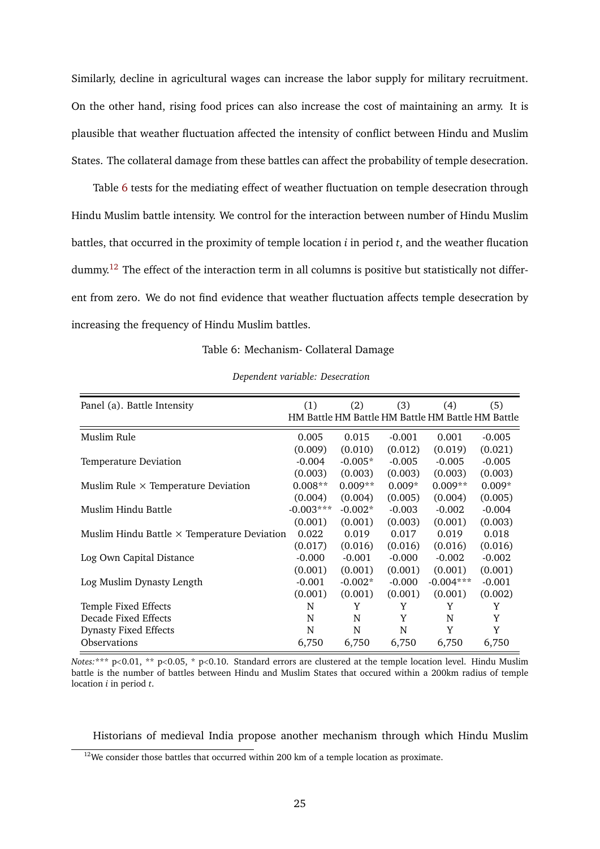Similarly, decline in agricultural wages can increase the labor supply for military recruitment. On the other hand, rising food prices can also increase the cost of maintaining an army. It is plausible that weather fluctuation affected the intensity of conflict between Hindu and Muslim States. The collateral damage from these battles can affect the probability of temple desecration.

Table [6](#page-26-0) tests for the mediating effect of weather fluctuation on temple desecration through Hindu Muslim battle intensity. We control for the interaction between number of Hindu Muslim battles, that occurred in the proximity of temple location *i* in period *t*, and the weather flucation dummy.<sup>[12](#page-26-1)</sup> The effect of the interaction term in all columns is positive but statistically not different from zero. We do not find evidence that weather fluctuation affects temple desecration by increasing the frequency of Hindu Muslim battles.

Table 6: Mechanism- Collateral Damage

<span id="page-26-0"></span>

| Panel (a). Battle Intensity                        | (1)         | (2)       | (3)      | (4)                                               | (5)      |
|----------------------------------------------------|-------------|-----------|----------|---------------------------------------------------|----------|
|                                                    |             |           |          |                                                   |          |
|                                                    |             |           |          | HM Battle HM Battle HM Battle HM Battle HM Battle |          |
| Muslim Rule                                        | 0.005       | 0.015     | $-0.001$ | 0.001                                             | $-0.005$ |
|                                                    | (0.009)     | (0.010)   | (0.012)  | (0.019)                                           | (0.021)  |
| Temperature Deviation                              | $-0.004$    | $-0.005*$ | $-0.005$ | $-0.005$                                          | $-0.005$ |
|                                                    | (0.003)     | (0.003)   | (0.003)  | (0.003)                                           | (0.003)  |
| Muslim Rule $\times$ Temperature Deviation         | $0.008**$   | $0.009**$ | $0.009*$ | $0.009**$                                         | $0.009*$ |
|                                                    | (0.004)     | (0.004)   | (0.005)  | (0.004)                                           | (0.005)  |
| Muslim Hindu Battle                                | $-0.003***$ | $-0.002*$ | $-0.003$ | $-0.002$                                          | $-0.004$ |
|                                                    | (0.001)     | (0.001)   | (0.003)  | (0.001)                                           | (0.003)  |
| Muslim Hindu Battle $\times$ Temperature Deviation | 0.022       | 0.019     | 0.017    | 0.019                                             | 0.018    |
|                                                    | (0.017)     | (0.016)   | (0.016)  | (0.016)                                           | (0.016)  |
| Log Own Capital Distance                           | $-0.000$    | $-0.001$  | $-0.000$ | $-0.002$                                          | $-0.002$ |
|                                                    | (0.001)     | (0.001)   | (0.001)  | (0.001)                                           | (0.001)  |
| Log Muslim Dynasty Length                          | $-0.001$    | $-0.002*$ | $-0.000$ | $-0.004***$                                       | $-0.001$ |
|                                                    | (0.001)     | (0.001)   | (0.001)  | (0.001)                                           | (0.002)  |
| Temple Fixed Effects                               | N           | Y         | Y        | Y                                                 | Y        |
| Decade Fixed Effects                               | N           | N         | Y        | N                                                 | Y        |
| Dynasty Fixed Effects                              | N           | N         | N        | Y                                                 | Y        |
| <b>Observations</b>                                | 6,750       | 6,750     | 6,750    | 6,750                                             | 6,750    |

*Dependent variable: Desecration*

*Notes:*\*\*\* p<0.01, \*\* p<0.05, \* p<0.10. Standard errors are clustered at the temple location level. Hindu Muslim battle is the number of battles between Hindu and Muslim States that occured within a 200km radius of temple location *i* in period *t*.

Historians of medieval India propose another mechanism through which Hindu Muslim

<span id="page-26-1"></span> $12$ We consider those battles that occurred within 200 km of a temple location as proximate.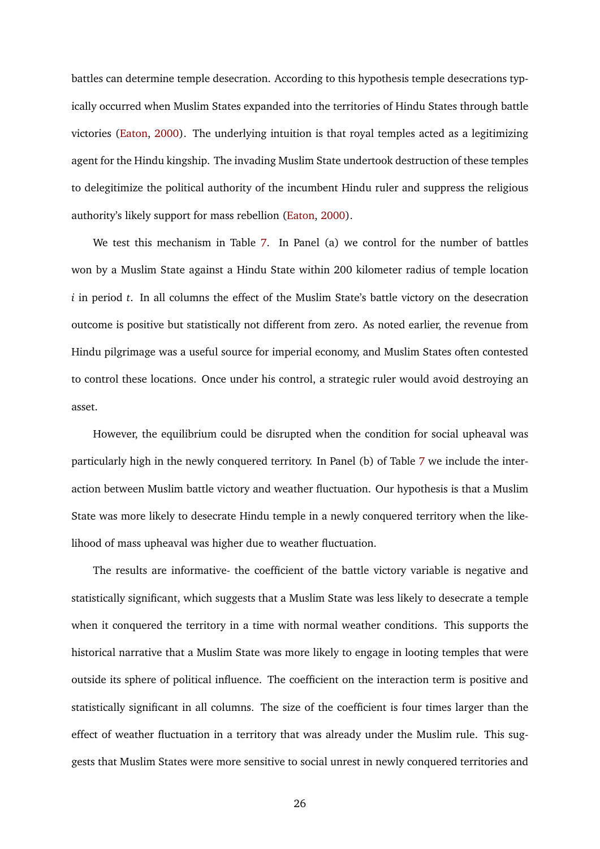battles can determine temple desecration. According to this hypothesis temple desecrations typically occurred when Muslim States expanded into the territories of Hindu States through battle victories [\(Eaton,](#page-36-1) [2000\)](#page-36-1). The underlying intuition is that royal temples acted as a legitimizing agent for the Hindu kingship. The invading Muslim State undertook destruction of these temples to delegitimize the political authority of the incumbent Hindu ruler and suppress the religious authority's likely support for mass rebellion [\(Eaton,](#page-36-1) [2000\)](#page-36-1).

We test this mechanism in Table [7.](#page-28-1) In Panel (a) we control for the number of battles won by a Muslim State against a Hindu State within 200 kilometer radius of temple location *i* in period *t*. In all columns the effect of the Muslim State's battle victory on the desecration outcome is positive but statistically not different from zero. As noted earlier, the revenue from Hindu pilgrimage was a useful source for imperial economy, and Muslim States often contested to control these locations. Once under his control, a strategic ruler would avoid destroying an asset.

However, the equilibrium could be disrupted when the condition for social upheaval was particularly high in the newly conquered territory. In Panel (b) of Table [7](#page-28-1) we include the interaction between Muslim battle victory and weather fluctuation. Our hypothesis is that a Muslim State was more likely to desecrate Hindu temple in a newly conquered territory when the likelihood of mass upheaval was higher due to weather fluctuation.

The results are informative- the coefficient of the battle victory variable is negative and statistically significant, which suggests that a Muslim State was less likely to desecrate a temple when it conquered the territory in a time with normal weather conditions. This supports the historical narrative that a Muslim State was more likely to engage in looting temples that were outside its sphere of political influence. The coefficient on the interaction term is positive and statistically significant in all columns. The size of the coefficient is four times larger than the effect of weather fluctuation in a territory that was already under the Muslim rule. This suggests that Muslim States were more sensitive to social unrest in newly conquered territories and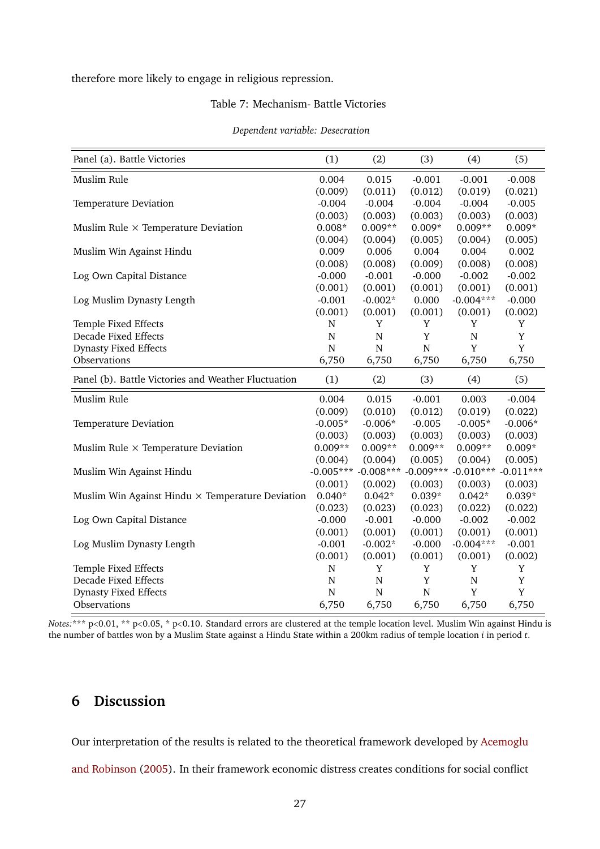<span id="page-28-1"></span>therefore more likely to engage in religious repression.

#### Table 7: Mechanism- Battle Victories

| Panel (a). Battle Victories                             | (1)            | (2)                     | (3)         | (4)            | (5)         |
|---------------------------------------------------------|----------------|-------------------------|-------------|----------------|-------------|
| Muslim Rule                                             | 0.004          | 0.015                   | $-0.001$    | $-0.001$       | $-0.008$    |
|                                                         | (0.009)        | (0.011)                 | (0.012)     | (0.019)        | (0.021)     |
| Temperature Deviation                                   | $-0.004$       | $-0.004$                | $-0.004$    | $-0.004$       | $-0.005$    |
|                                                         | (0.003)        | (0.003)                 | (0.003)     | (0.003)        | (0.003)     |
| Muslim Rule $\times$ Temperature Deviation              | $0.008*$       | $0.009**$               | $0.009*$    | $0.009**$      | $0.009*$    |
|                                                         | (0.004)        | (0.004)                 | (0.005)     | (0.004)        | (0.005)     |
| Muslim Win Against Hindu                                | 0.009          | 0.006                   | 0.004       | 0.004          | 0.002       |
|                                                         | (0.008)        | (0.008)                 | (0.009)     | (0.008)        | (0.008)     |
| Log Own Capital Distance                                | $-0.000$       | $-0.001$                | $-0.000$    | $-0.002$       | $-0.002$    |
|                                                         | (0.001)        | (0.001)                 | (0.001)     | (0.001)        | (0.001)     |
| Log Muslim Dynasty Length                               | $-0.001$       | $-0.002*$               | 0.000       | $-0.004***$    | $-0.000$    |
|                                                         | (0.001)        | (0.001)                 | (0.001)     | (0.001)        | (0.002)     |
| Temple Fixed Effects                                    | N              | Y                       | Y           | Y              | Y           |
| <b>Decade Fixed Effects</b>                             | $\overline{N}$ | $\mathbf N$             | Y           | $\overline{N}$ | $\mathbf Y$ |
| <b>Dynasty Fixed Effects</b>                            | N              | N                       | $\mathbf N$ | Y              | Y           |
| Observations                                            | 6,750          | 6,750                   | 6,750       | 6,750          | 6,750       |
| Panel (b). Battle Victories and Weather Fluctuation     | (1)            | (2)                     | (3)         | (4)            | (5)         |
| Muslim Rule                                             | 0.004          | 0.015                   | $-0.001$    | 0.003          | $-0.004$    |
|                                                         | (0.009)        | (0.010)                 | (0.012)     | (0.019)        | (0.022)     |
| Temperature Deviation                                   | $-0.005*$      | $-0.006*$               | $-0.005$    | $-0.005*$      | $-0.006*$   |
|                                                         | (0.003)        | (0.003)                 | (0.003)     | (0.003)        | (0.003)     |
| Muslim Rule $\times$ Temperature Deviation              | $0.009**$      | $0.009**$               | $0.009**$   | $0.009**$      | $0.009*$    |
|                                                         | (0.004)        | (0.004)                 | (0.005)     | (0.004)        | (0.005)     |
| Muslim Win Against Hindu                                |                | $-0.005***$ $-0.008***$ | $-0.009***$ | $-0.010***$    | $-0.011***$ |
|                                                         | (0.001)        | (0.002)                 | (0.003)     | (0.003)        | (0.003)     |
| Muslim Win Against Hindu $\times$ Temperature Deviation | $0.040*$       | $0.042*$                | $0.039*$    | $0.042*$       | $0.039*$    |
|                                                         | (0.023)        | (0.023)                 | (0.023)     | (0.022)        | (0.022)     |
| Log Own Capital Distance                                | $-0.000$       | $-0.001$                | $-0.000$    | $-0.002$       | $-0.002$    |
|                                                         | (0.001)        | (0.001)                 | (0.001)     | (0.001)        | (0.001)     |
| Log Muslim Dynasty Length                               | $-0.001$       | $-0.002*$               | $-0.000$    | $-0.004***$    | $-0.001$    |
|                                                         | (0.001)        | (0.001)                 | (0.001)     | (0.001)        | (0.002)     |
| Temple Fixed Effects                                    | N              | $\mathbf Y$             | Y           | Y              | Y           |
| Decade Fixed Effects                                    | $\overline{N}$ | $\mathbf N$             | Y           | ${\bf N}$      | Y           |
| <b>Dynasty Fixed Effects</b>                            | N              | $\mathbf N$             | $\mathbf N$ | Y              | $\mathbf Y$ |
| Observations                                            | 6,750          | 6,750                   | 6,750       | 6,750          | 6,750       |

*Notes*:<sup>\*\*\*</sup> p<0.01, \*\* p<0.05, \* p<0.10. Standard errors are clustered at the temple location level. Muslim Win against Hindu is the number of battles won by a Muslim State against a Hindu State within a 200km radius of temple location *i* in period *t*.

# <span id="page-28-0"></span>**6 Discussion**

Our interpretation of the results is related to the theoretical framework developed by [Acemoglu](#page-34-1) [and Robinson](#page-34-1) [\(2005\)](#page-34-1). In their framework economic distress creates conditions for social conflict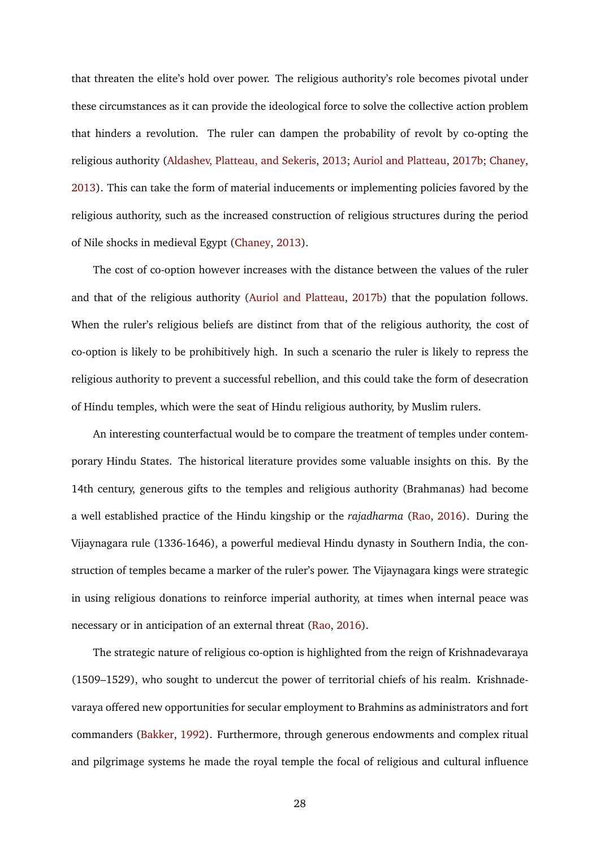that threaten the elite's hold over power. The religious authority's role becomes pivotal under these circumstances as it can provide the ideological force to solve the collective action problem that hinders a revolution. The ruler can dampen the probability of revolt by co-opting the religious authority [\(Aldashev, Platteau, and Sekeris,](#page-34-3) [2013;](#page-34-3) [Auriol and Platteau,](#page-34-5) [2017b;](#page-34-5) [Chaney,](#page-35-2) [2013\)](#page-35-2). This can take the form of material inducements or implementing policies favored by the religious authority, such as the increased construction of religious structures during the period of Nile shocks in medieval Egypt [\(Chaney,](#page-35-2) [2013\)](#page-35-2).

The cost of co-option however increases with the distance between the values of the ruler and that of the religious authority [\(Auriol and Platteau,](#page-34-5) [2017b\)](#page-34-5) that the population follows. When the ruler's religious beliefs are distinct from that of the religious authority, the cost of co-option is likely to be prohibitively high. In such a scenario the ruler is likely to repress the religious authority to prevent a successful rebellion, and this could take the form of desecration of Hindu temples, which were the seat of Hindu religious authority, by Muslim rulers.

An interesting counterfactual would be to compare the treatment of temples under contemporary Hindu States. The historical literature provides some valuable insights on this. By the 14th century, generous gifts to the temples and religious authority (Brahmanas) had become a well established practice of the Hindu kingship or the *rajadharma* [\(Rao,](#page-38-11) [2016\)](#page-38-11). During the Vijaynagara rule (1336-1646), a powerful medieval Hindu dynasty in Southern India, the construction of temples became a marker of the ruler's power. The Vijaynagara kings were strategic in using religious donations to reinforce imperial authority, at times when internal peace was necessary or in anticipation of an external threat [\(Rao,](#page-38-11) [2016\)](#page-38-11).

The strategic nature of religious co-option is highlighted from the reign of Krishnadevaraya (1509–1529), who sought to undercut the power of territorial chiefs of his realm. Krishnadevaraya offered new opportunities for secular employment to Brahmins as administrators and fort commanders [\(Bakker,](#page-34-9) [1992\)](#page-34-9). Furthermore, through generous endowments and complex ritual and pilgrimage systems he made the royal temple the focal of religious and cultural influence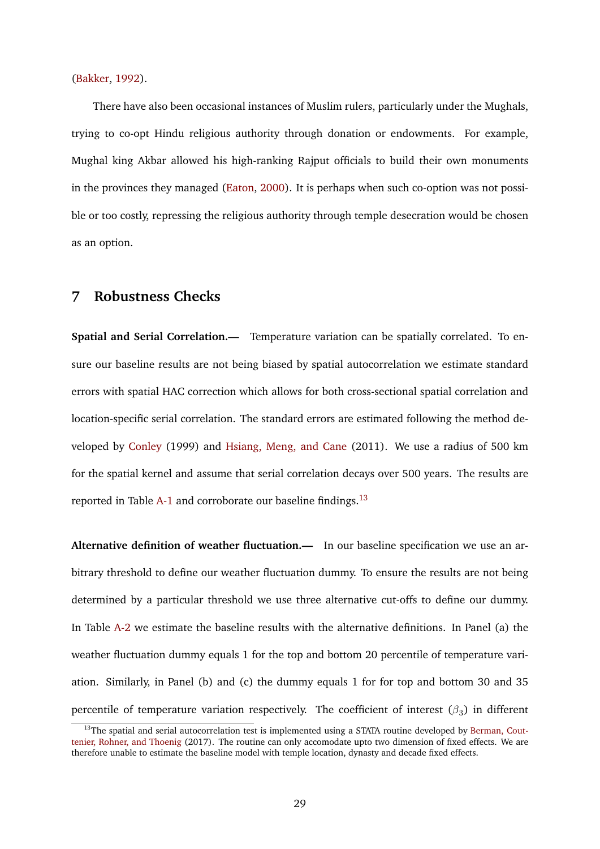[\(Bakker,](#page-34-9) [1992\)](#page-34-9).

There have also been occasional instances of Muslim rulers, particularly under the Mughals, trying to co-opt Hindu religious authority through donation or endowments. For example, Mughal king Akbar allowed his high-ranking Rajput officials to build their own monuments in the provinces they managed [\(Eaton,](#page-36-1) [2000\)](#page-36-1). It is perhaps when such co-option was not possible or too costly, repressing the religious authority through temple desecration would be chosen as an option.

# <span id="page-30-0"></span>**7 Robustness Checks**

**Spatial and Serial Correlation.—** Temperature variation can be spatially correlated. To ensure our baseline results are not being biased by spatial autocorrelation we estimate standard errors with spatial HAC correction which allows for both cross-sectional spatial correlation and location-specific serial correlation. The standard errors are estimated following the method developed by [Conley](#page-35-9) (1999) and [Hsiang, Meng, and Cane](#page-36-11) (2011). We use a radius of 500 km for the spatial kernel and assume that serial correlation decays over 500 years. The results are reported in Table [A-1](#page-43-0) and corroborate our baseline findings.<sup>[13](#page-30-1)</sup>

**Alternative definition of weather fluctuation.—** In our baseline specification we use an arbitrary threshold to define our weather fluctuation dummy. To ensure the results are not being determined by a particular threshold we use three alternative cut-offs to define our dummy. In Table [A-2](#page-44-0) we estimate the baseline results with the alternative definitions. In Panel (a) the weather fluctuation dummy equals 1 for the top and bottom 20 percentile of temperature variation. Similarly, in Panel (b) and (c) the dummy equals 1 for for top and bottom 30 and 35 percentile of temperature variation respectively. The coefficient of interest  $(\beta_3)$  in different

<span id="page-30-1"></span> $13$ The spatial and serial autocorrelation test is implemented using a STATA routine developed by [Berman, Cout](#page-35-10)[tenier, Rohner, and Thoenig](#page-35-10) (2017). The routine can only accomodate upto two dimension of fixed effects. We are therefore unable to estimate the baseline model with temple location, dynasty and decade fixed effects.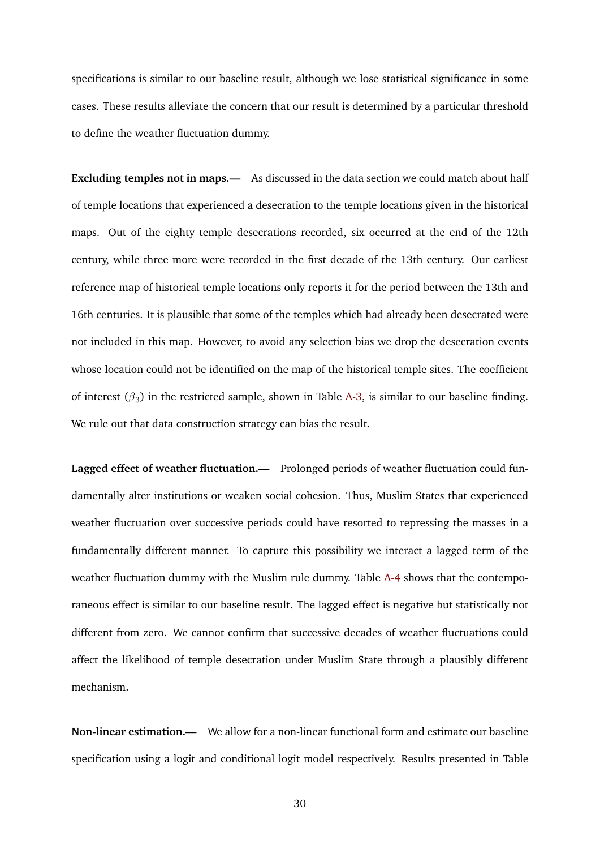specifications is similar to our baseline result, although we lose statistical significance in some cases. These results alleviate the concern that our result is determined by a particular threshold to define the weather fluctuation dummy.

**Excluding temples not in maps.—** As discussed in the data section we could match about half of temple locations that experienced a desecration to the temple locations given in the historical maps. Out of the eighty temple desecrations recorded, six occurred at the end of the 12th century, while three more were recorded in the first decade of the 13th century. Our earliest reference map of historical temple locations only reports it for the period between the 13th and 16th centuries. It is plausible that some of the temples which had already been desecrated were not included in this map. However, to avoid any selection bias we drop the desecration events whose location could not be identified on the map of the historical temple sites. The coefficient of interest  $(\beta_3)$  in the restricted sample, shown in Table [A-3,](#page-45-0) is similar to our baseline finding. We rule out that data construction strategy can bias the result.

Lagged effect of weather fluctuation.— Prolonged periods of weather fluctuation could fundamentally alter institutions or weaken social cohesion. Thus, Muslim States that experienced weather fluctuation over successive periods could have resorted to repressing the masses in a fundamentally different manner. To capture this possibility we interact a lagged term of the weather fluctuation dummy with the Muslim rule dummy. Table [A-4](#page-45-1) shows that the contemporaneous effect is similar to our baseline result. The lagged effect is negative but statistically not different from zero. We cannot confirm that successive decades of weather fluctuations could affect the likelihood of temple desecration under Muslim State through a plausibly different mechanism.

**Non-linear estimation.—** We allow for a non-linear functional form and estimate our baseline specification using a logit and conditional logit model respectively. Results presented in Table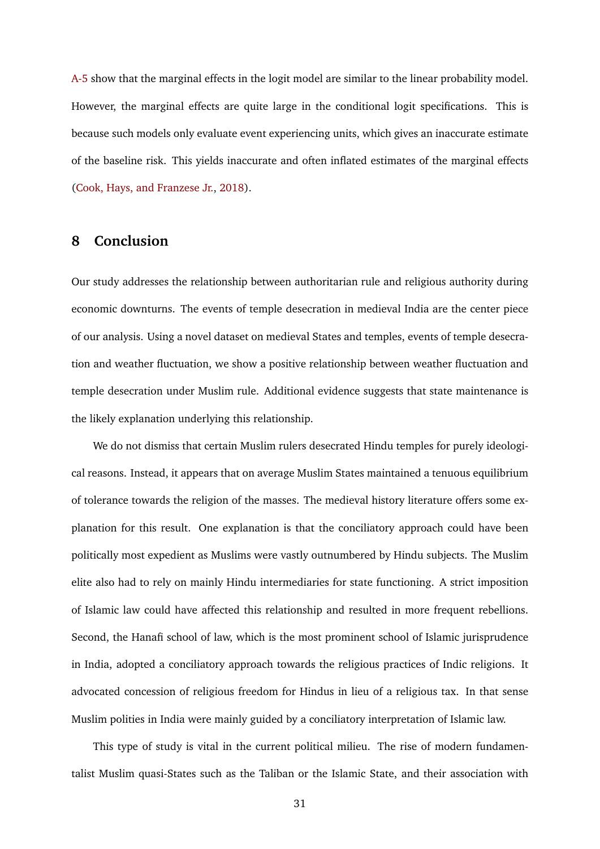[A-5](#page-46-0) show that the marginal effects in the logit model are similar to the linear probability model. However, the marginal effects are quite large in the conditional logit specifications. This is because such models only evaluate event experiencing units, which gives an inaccurate estimate of the baseline risk. This yields inaccurate and often inflated estimates of the marginal effects [\(Cook, Hays, and Franzese Jr.,](#page-35-8) [2018\)](#page-35-8).

## <span id="page-32-0"></span>**8 Conclusion**

Our study addresses the relationship between authoritarian rule and religious authority during economic downturns. The events of temple desecration in medieval India are the center piece of our analysis. Using a novel dataset on medieval States and temples, events of temple desecration and weather fluctuation, we show a positive relationship between weather fluctuation and temple desecration under Muslim rule. Additional evidence suggests that state maintenance is the likely explanation underlying this relationship.

We do not dismiss that certain Muslim rulers desecrated Hindu temples for purely ideological reasons. Instead, it appears that on average Muslim States maintained a tenuous equilibrium of tolerance towards the religion of the masses. The medieval history literature offers some explanation for this result. One explanation is that the conciliatory approach could have been politically most expedient as Muslims were vastly outnumbered by Hindu subjects. The Muslim elite also had to rely on mainly Hindu intermediaries for state functioning. A strict imposition of Islamic law could have affected this relationship and resulted in more frequent rebellions. Second, the Hanafi school of law, which is the most prominent school of Islamic jurisprudence in India, adopted a conciliatory approach towards the religious practices of Indic religions. It advocated concession of religious freedom for Hindus in lieu of a religious tax. In that sense Muslim polities in India were mainly guided by a conciliatory interpretation of Islamic law.

This type of study is vital in the current political milieu. The rise of modern fundamentalist Muslim quasi-States such as the Taliban or the Islamic State, and their association with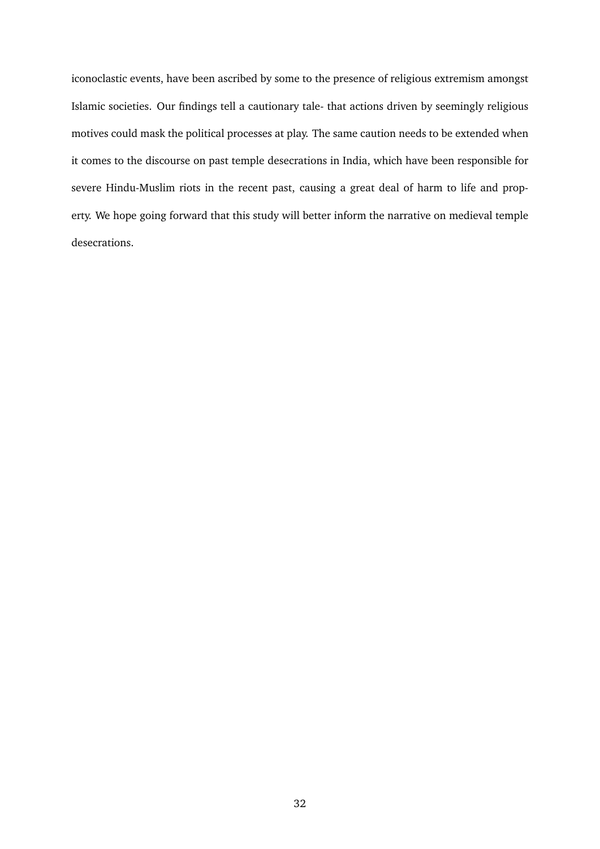iconoclastic events, have been ascribed by some to the presence of religious extremism amongst Islamic societies. Our findings tell a cautionary tale- that actions driven by seemingly religious motives could mask the political processes at play. The same caution needs to be extended when it comes to the discourse on past temple desecrations in India, which have been responsible for severe Hindu-Muslim riots in the recent past, causing a great deal of harm to life and property. We hope going forward that this study will better inform the narrative on medieval temple desecrations.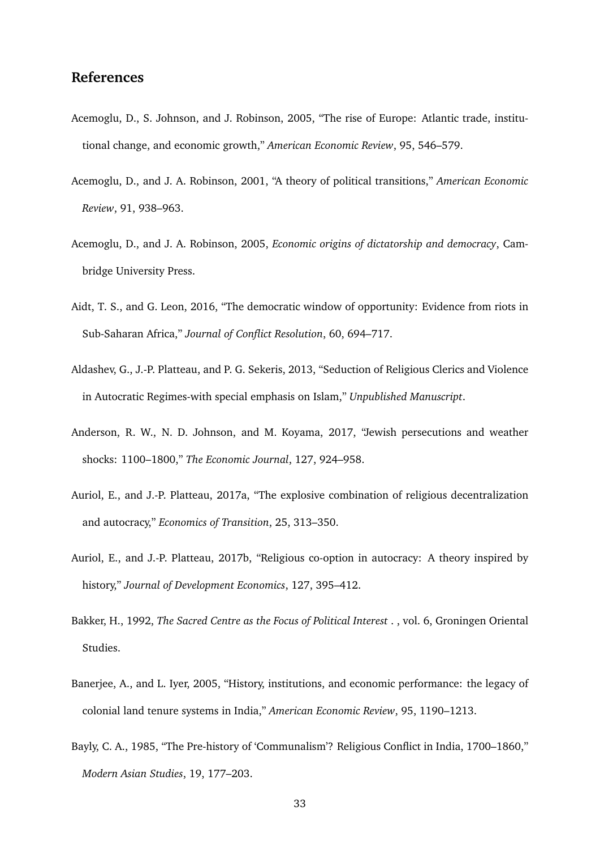# **References**

- <span id="page-34-10"></span>Acemoglu, D., S. Johnson, and J. Robinson, 2005, "The rise of Europe: Atlantic trade, institutional change, and economic growth," *American Economic Review*, 95, 546–579.
- <span id="page-34-0"></span>Acemoglu, D., and J. A. Robinson, 2001, "A theory of political transitions," *American Economic Review*, 91, 938–963.
- <span id="page-34-1"></span>Acemoglu, D., and J. A. Robinson, 2005, *Economic origins of dictatorship and democracy*, Cambridge University Press.
- <span id="page-34-2"></span>Aidt, T. S., and G. Leon, 2016, "The democratic window of opportunity: Evidence from riots in Sub-Saharan Africa," *Journal of Conflict Resolution*, 60, 694–717.
- <span id="page-34-3"></span>Aldashev, G., J.-P. Platteau, and P. G. Sekeris, 2013, "Seduction of Religious Clerics and Violence in Autocratic Regimes-with special emphasis on Islam," *Unpublished Manuscript*.
- <span id="page-34-6"></span>Anderson, R. W., N. D. Johnson, and M. Koyama, 2017, "Jewish persecutions and weather shocks: 1100–1800," *The Economic Journal*, 127, 924–958.
- <span id="page-34-4"></span>Auriol, E., and J.-P. Platteau, 2017a, "The explosive combination of religious decentralization and autocracy," *Economics of Transition*, 25, 313–350.
- <span id="page-34-5"></span>Auriol, E., and J.-P. Platteau, 2017b, "Religious co-option in autocracy: A theory inspired by history," *Journal of Development Economics*, 127, 395–412.
- <span id="page-34-9"></span>Bakker, H., 1992, *The Sacred Centre as the Focus of Political Interest* . , vol. 6, Groningen Oriental Studies.
- <span id="page-34-7"></span>Banerjee, A., and L. Iyer, 2005, "History, institutions, and economic performance: the legacy of colonial land tenure systems in India," *American Economic Review*, 95, 1190–1213.
- <span id="page-34-8"></span>Bayly, C. A., 1985, "The Pre-history of 'Communalism'? Religious Conflict in India, 1700–1860," *Modern Asian Studies*, 19, 177–203.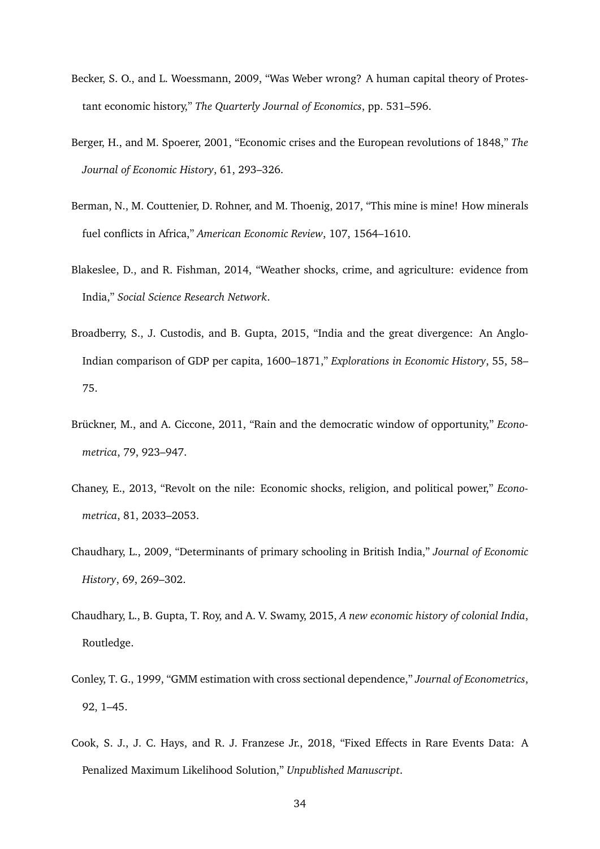- <span id="page-35-3"></span>Becker, S. O., and L. Woessmann, 2009, "Was Weber wrong? A human capital theory of Protestant economic history," *The Quarterly Journal of Economics*, pp. 531–596.
- <span id="page-35-1"></span>Berger, H., and M. Spoerer, 2001, "Economic crises and the European revolutions of 1848," *The Journal of Economic History*, 61, 293–326.
- <span id="page-35-10"></span>Berman, N., M. Couttenier, D. Rohner, and M. Thoenig, 2017, "This mine is mine! How minerals fuel conflicts in Africa," *American Economic Review*, 107, 1564–1610.
- <span id="page-35-7"></span>Blakeslee, D., and R. Fishman, 2014, "Weather shocks, crime, and agriculture: evidence from India," *Social Science Research Network*.
- <span id="page-35-4"></span>Broadberry, S., J. Custodis, and B. Gupta, 2015, "India and the great divergence: An Anglo-Indian comparison of GDP per capita, 1600–1871," *Explorations in Economic History*, 55, 58– 75.
- <span id="page-35-0"></span>Brückner, M., and A. Ciccone, 2011, "Rain and the democratic window of opportunity," *Econometrica*, 79, 923–947.
- <span id="page-35-2"></span>Chaney, E., 2013, "Revolt on the nile: Economic shocks, religion, and political power," *Econometrica*, 81, 2033–2053.
- <span id="page-35-5"></span>Chaudhary, L., 2009, "Determinants of primary schooling in British India," *Journal of Economic History*, 69, 269–302.
- <span id="page-35-6"></span>Chaudhary, L., B. Gupta, T. Roy, and A. V. Swamy, 2015, *A new economic history of colonial India*, Routledge.
- <span id="page-35-9"></span>Conley, T. G., 1999, "GMM estimation with cross sectional dependence," *Journal of Econometrics*, 92, 1–45.
- <span id="page-35-8"></span>Cook, S. J., J. C. Hays, and R. J. Franzese Jr., 2018, "Fixed Effects in Rare Events Data: A Penalized Maximum Likelihood Solution," *Unpublished Manuscript*.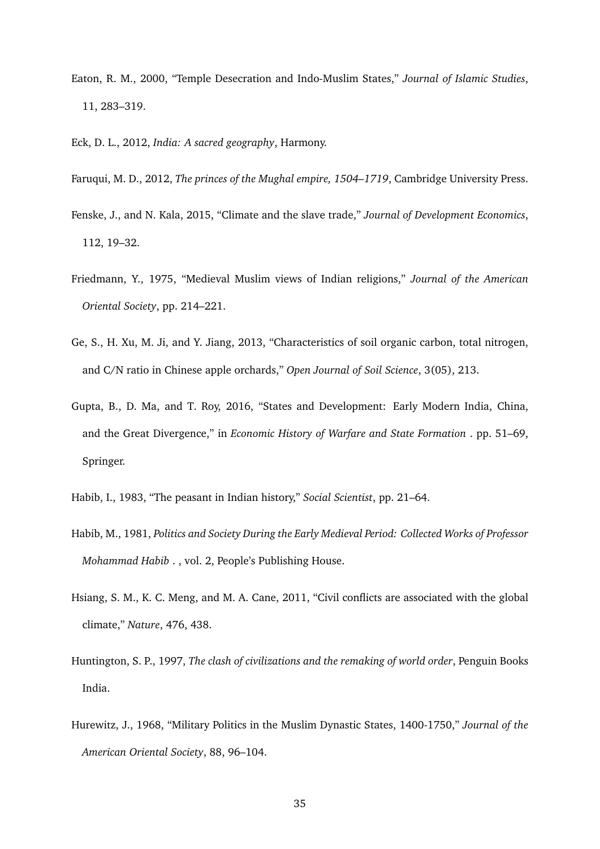- <span id="page-36-1"></span>Eaton, R. M., 2000, "Temple Desecration and Indo-Muslim States," *Journal of Islamic Studies*, 11, 283–319.
- <span id="page-36-6"></span><span id="page-36-0"></span>Eck, D. L., 2012, *India: A sacred geography*, Harmony.
- <span id="page-36-2"></span>Faruqui, M. D., 2012, *The princes of the Mughal empire, 1504–1719*, Cambridge University Press.
- Fenske, J., and N. Kala, 2015, "Climate and the slave trade," *Journal of Development Economics*, 112, 19–32.
- <span id="page-36-7"></span>Friedmann, Y., 1975, "Medieval Muslim views of Indian religions," *Journal of the American Oriental Society*, pp. 214–221.
- <span id="page-36-8"></span>Ge, S., H. Xu, M. Ji, and Y. Jiang, 2013, "Characteristics of soil organic carbon, total nitrogen, and C/N ratio in Chinese apple orchards," *Open Journal of Soil Science*, 3(05), 213.
- <span id="page-36-5"></span>Gupta, B., D. Ma, and T. Roy, 2016, "States and Development: Early Modern India, China, and the Great Divergence," in *Economic History of Warfare and State Formation* . pp. 51–69, Springer.
- <span id="page-36-9"></span><span id="page-36-4"></span>Habib, I., 1983, "The peasant in Indian history," *Social Scientist*, pp. 21–64.
- Habib, M., 1981, *Politics and Society During the Early Medieval Period: Collected Works of Professor Mohammad Habib* . , vol. 2, People's Publishing House.
- <span id="page-36-11"></span>Hsiang, S. M., K. C. Meng, and M. A. Cane, 2011, "Civil conflicts are associated with the global climate," *Nature*, 476, 438.
- <span id="page-36-3"></span>Huntington, S. P., 1997, *The clash of civilizations and the remaking of world order*, Penguin Books India.
- <span id="page-36-10"></span>Hurewitz, J., 1968, "Military Politics in the Muslim Dynastic States, 1400-1750," *Journal of the American Oriental Society*, 88, 96–104.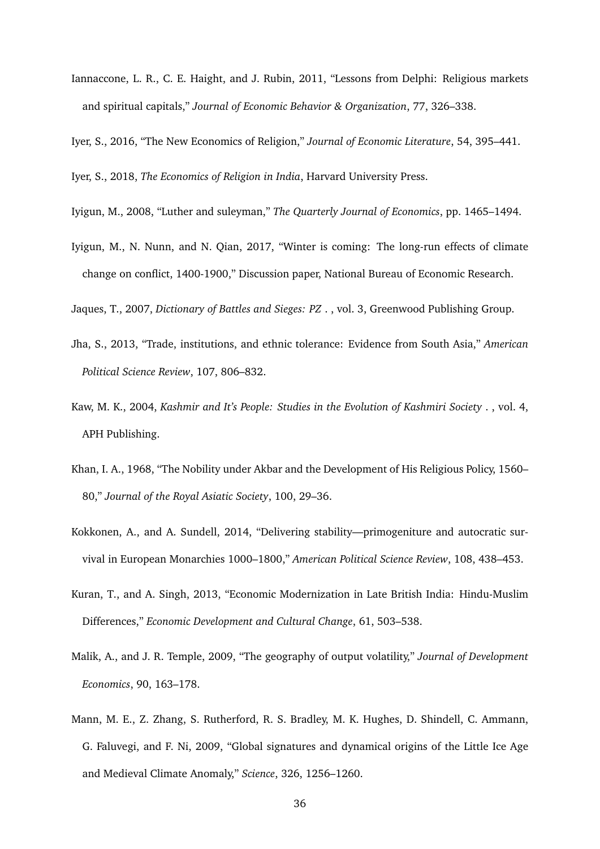- <span id="page-37-10"></span>Iannaccone, L. R., C. E. Haight, and J. Rubin, 2011, "Lessons from Delphi: Religious markets and spiritual capitals," *Journal of Economic Behavior & Organization*, 77, 326–338.
- <span id="page-37-3"></span><span id="page-37-2"></span>Iyer, S., 2016, "The New Economics of Religion," *Journal of Economic Literature*, 54, 395–441.

<span id="page-37-4"></span>Iyer, S., 2018, *The Economics of Religion in India*, Harvard University Press.

- <span id="page-37-1"></span>Iyigun, M., 2008, "Luther and suleyman," *The Quarterly Journal of Economics*, pp. 1465–1494.
- Iyigun, M., N. Nunn, and N. Qian, 2017, "Winter is coming: The long-run effects of climate change on conflict, 1400-1900," Discussion paper, National Bureau of Economic Research.

<span id="page-37-9"></span><span id="page-37-6"></span>Jaques, T., 2007, *Dictionary of Battles and Sieges: PZ* . , vol. 3, Greenwood Publishing Group.

- Jha, S., 2013, "Trade, institutions, and ethnic tolerance: Evidence from South Asia," *American Political Science Review*, 107, 806–832.
- <span id="page-37-11"></span>Kaw, M. K., 2004, *Kashmir and It's People: Studies in the Evolution of Kashmiri Society* . , vol. 4, APH Publishing.
- <span id="page-37-7"></span>Khan, I. A., 1968, "The Nobility under Akbar and the Development of His Religious Policy, 1560– 80," *Journal of the Royal Asiatic Society*, 100, 29–36.
- <span id="page-37-12"></span>Kokkonen, A., and A. Sundell, 2014, "Delivering stability—primogeniture and autocratic survival in European Monarchies 1000–1800," *American Political Science Review*, 108, 438–453.
- <span id="page-37-5"></span>Kuran, T., and A. Singh, 2013, "Economic Modernization in Late British India: Hindu-Muslim Differences," *Economic Development and Cultural Change*, 61, 503–538.
- <span id="page-37-0"></span>Malik, A., and J. R. Temple, 2009, "The geography of output volatility," *Journal of Development Economics*, 90, 163–178.
- <span id="page-37-8"></span>Mann, M. E., Z. Zhang, S. Rutherford, R. S. Bradley, M. K. Hughes, D. Shindell, C. Ammann, G. Faluvegi, and F. Ni, 2009, "Global signatures and dynamical origins of the Little Ice Age and Medieval Climate Anomaly," *Science*, 326, 1256–1260.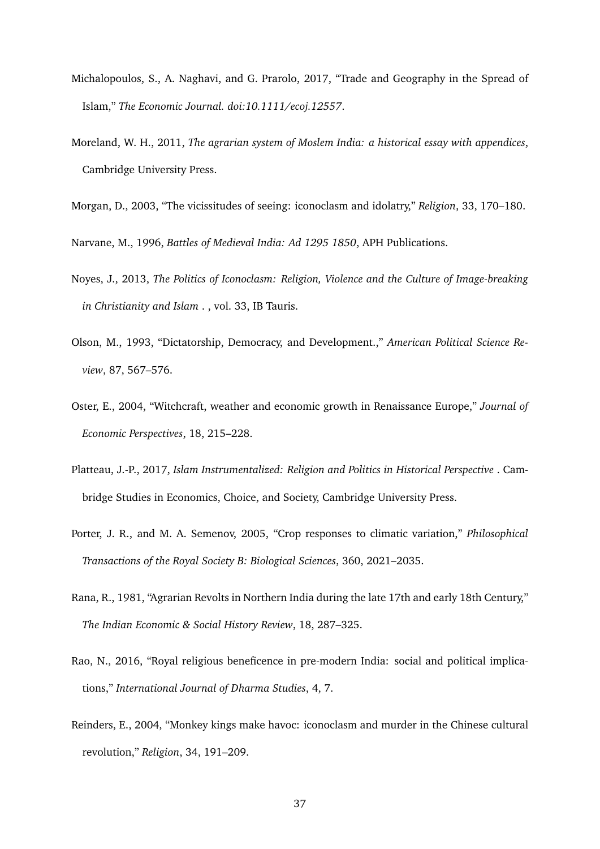- <span id="page-38-3"></span>Michalopoulos, S., A. Naghavi, and G. Prarolo, 2017, "Trade and Geography in the Spread of Islam," *The Economic Journal. doi:10.1111/ecoj.12557*.
- <span id="page-38-1"></span>Moreland, W. H., 2011, *The agrarian system of Moslem India: a historical essay with appendices*, Cambridge University Press.
- <span id="page-38-9"></span><span id="page-38-4"></span>Morgan, D., 2003, "The vicissitudes of seeing: iconoclasm and idolatry," *Religion*, 33, 170–180.

<span id="page-38-5"></span>Narvane, M., 1996, *Battles of Medieval India: Ad 1295 1850*, APH Publications.

- Noyes, J., 2013, *The Politics of Iconoclasm: Religion, Violence and the Culture of Image-breaking in Christianity and Islam* . , vol. 33, IB Tauris.
- <span id="page-38-7"></span>Olson, M., 1993, "Dictatorship, Democracy, and Development.," *American Political Science Review*, 87, 567–576.
- <span id="page-38-2"></span>Oster, E., 2004, "Witchcraft, weather and economic growth in Renaissance Europe," *Journal of Economic Perspectives*, 18, 215–228.
- <span id="page-38-10"></span>Platteau, J.-P., 2017, *Islam Instrumentalized: Religion and Politics in Historical Perspective* . Cambridge Studies in Economics, Choice, and Society, Cambridge University Press.
- <span id="page-38-0"></span>Porter, J. R., and M. A. Semenov, 2005, "Crop responses to climatic variation," *Philosophical Transactions of the Royal Society B: Biological Sciences*, 360, 2021–2035.
- <span id="page-38-8"></span>Rana, R., 1981, "Agrarian Revolts in Northern India during the late 17th and early 18th Century," *The Indian Economic & Social History Review*, 18, 287–325.
- <span id="page-38-11"></span>Rao, N., 2016, "Royal religious beneficence in pre-modern India: social and political implications," *International Journal of Dharma Studies*, 4, 7.
- <span id="page-38-6"></span>Reinders, E., 2004, "Monkey kings make havoc: iconoclasm and murder in the Chinese cultural revolution," *Religion*, 34, 191–209.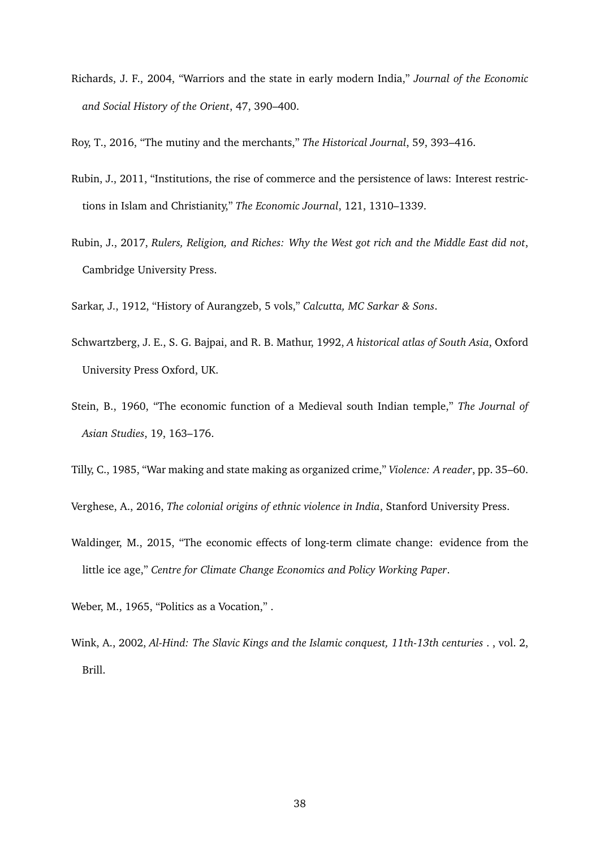- <span id="page-39-7"></span>Richards, J. F., 2004, "Warriors and the state in early modern India," *Journal of the Economic and Social History of the Orient*, 47, 390–400.
- <span id="page-39-3"></span><span id="page-39-1"></span>Roy, T., 2016, "The mutiny and the merchants," *The Historical Journal*, 59, 393–416.
- Rubin, J., 2011, "Institutions, the rise of commerce and the persistence of laws: Interest restrictions in Islam and Christianity," *The Economic Journal*, 121, 1310–1339.
- <span id="page-39-0"></span>Rubin, J., 2017, *Rulers, Religion, and Riches: Why the West got rich and the Middle East did not*, Cambridge University Press.
- <span id="page-39-11"></span><span id="page-39-10"></span>Sarkar, J., 1912, "History of Aurangzeb, 5 vols," *Calcutta, MC Sarkar & Sons*.
- Schwartzberg, J. E., S. G. Bajpai, and R. B. Mathur, 1992, *A historical atlas of South Asia*, Oxford University Press Oxford, UK.
- <span id="page-39-8"></span>Stein, B., 1960, "The economic function of a Medieval south Indian temple," *The Journal of Asian Studies*, 19, 163–176.
- <span id="page-39-5"></span><span id="page-39-4"></span>Tilly, C., 1985, "War making and state making as organized crime," *Violence: A reader*, pp. 35–60.
- <span id="page-39-2"></span>Verghese, A., 2016, *The colonial origins of ethnic violence in India*, Stanford University Press.
- Waldinger, M., 2015, "The economic effects of long-term climate change: evidence from the little ice age," *Centre for Climate Change Economics and Policy Working Paper*.
- <span id="page-39-9"></span><span id="page-39-6"></span>Weber, M., 1965, "Politics as a Vocation," .
- Wink, A., 2002, *Al-Hind: The Slavic Kings and the Islamic conquest, 11th-13th centuries* . , vol. 2, Brill.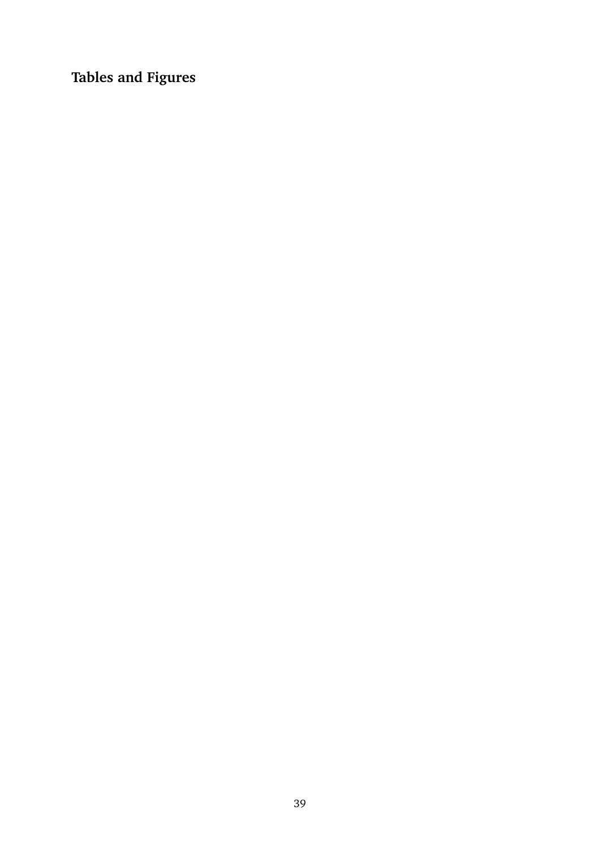**Tables and Figures**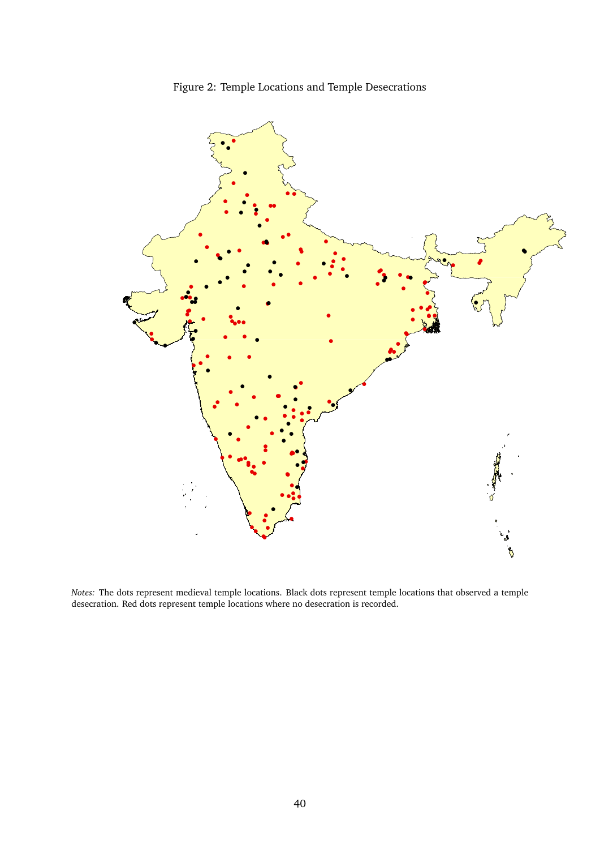



*Notes:* The dots represent medieval temple locations. Black dots represent temple locations that observed a temple desecration. Red dots represent temple locations where no desecration is recorded.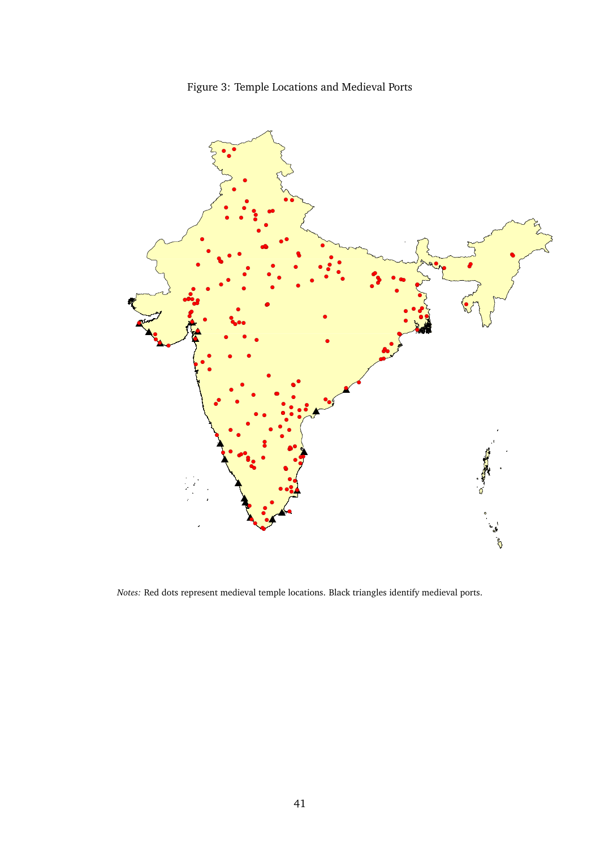

<span id="page-42-0"></span>

Notes: Red dots represent medieval temple locations. Black triangles identify medieval ports.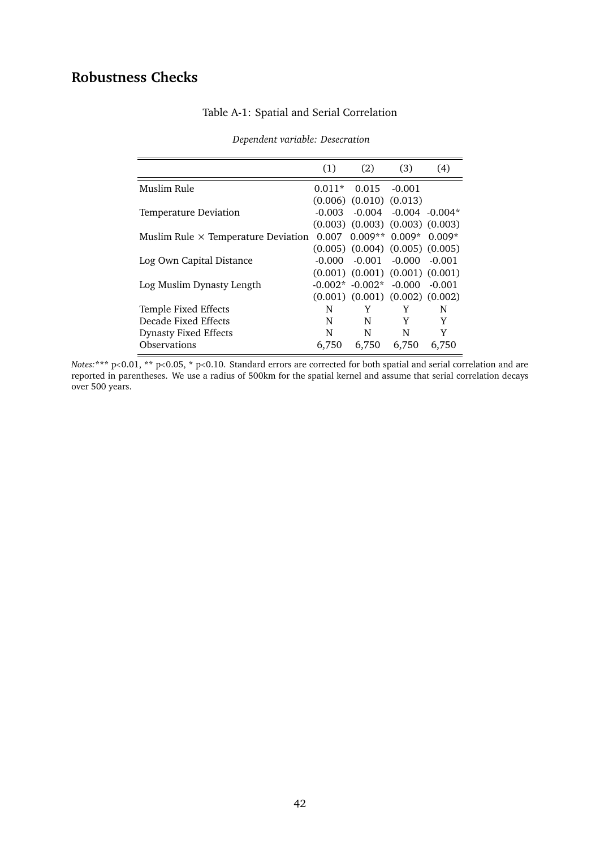# <span id="page-43-0"></span>**Robustness Checks**

| (1)                                        | (2)   | (3)      | (4)                                                                                                                                                                                                                                                                                                                                                  |
|--------------------------------------------|-------|----------|------------------------------------------------------------------------------------------------------------------------------------------------------------------------------------------------------------------------------------------------------------------------------------------------------------------------------------------------------|
| $0.011*$                                   | 0.015 | $-0.001$ |                                                                                                                                                                                                                                                                                                                                                      |
|                                            |       |          |                                                                                                                                                                                                                                                                                                                                                      |
| -0.003-                                    |       |          |                                                                                                                                                                                                                                                                                                                                                      |
|                                            |       |          |                                                                                                                                                                                                                                                                                                                                                      |
| Muslim Rule $\times$ Temperature Deviation |       |          |                                                                                                                                                                                                                                                                                                                                                      |
|                                            |       |          |                                                                                                                                                                                                                                                                                                                                                      |
|                                            |       |          |                                                                                                                                                                                                                                                                                                                                                      |
|                                            |       |          |                                                                                                                                                                                                                                                                                                                                                      |
|                                            |       |          |                                                                                                                                                                                                                                                                                                                                                      |
|                                            |       |          |                                                                                                                                                                                                                                                                                                                                                      |
| N                                          | Y     | Y        | N                                                                                                                                                                                                                                                                                                                                                    |
| N                                          | N     | Y        | Y                                                                                                                                                                                                                                                                                                                                                    |
| N                                          | N     | N        | Y                                                                                                                                                                                                                                                                                                                                                    |
| 6.750                                      | 6,750 | 6,750    | 6,750                                                                                                                                                                                                                                                                                                                                                |
|                                            |       | -0.000 - | $(0.006)$ $(0.010)$ $(0.013)$<br>$-0.004$ $-0.004$ $-0.004*$<br>$(0.003)$ $(0.003)$ $(0.003)$ $(0.003)$<br>$0.007$ $0.009**$ $0.009*$ $0.009*$<br>$(0.005)$ $(0.004)$ $(0.005)$ $(0.005)$<br>$-0.001 - 0.000 - 0.001$<br>$(0.001)$ $(0.001)$ $(0.001)$ $(0.001)$<br>$-0.002*$ $-0.002*$ $-0.000$ $-0.001$<br>$(0.001)$ $(0.001)$ $(0.002)$ $(0.002)$ |

## Table A-1: Spatial and Serial Correlation

*Dependent variable: Desecration*

*Notes:*\*\*\* p<0.01, \*\* p<0.05, \* p<0.10. Standard errors are corrected for both spatial and serial correlation and are reported in parentheses. We use a radius of 500km for the spatial kernel and assume that serial correlation decays over 500 years.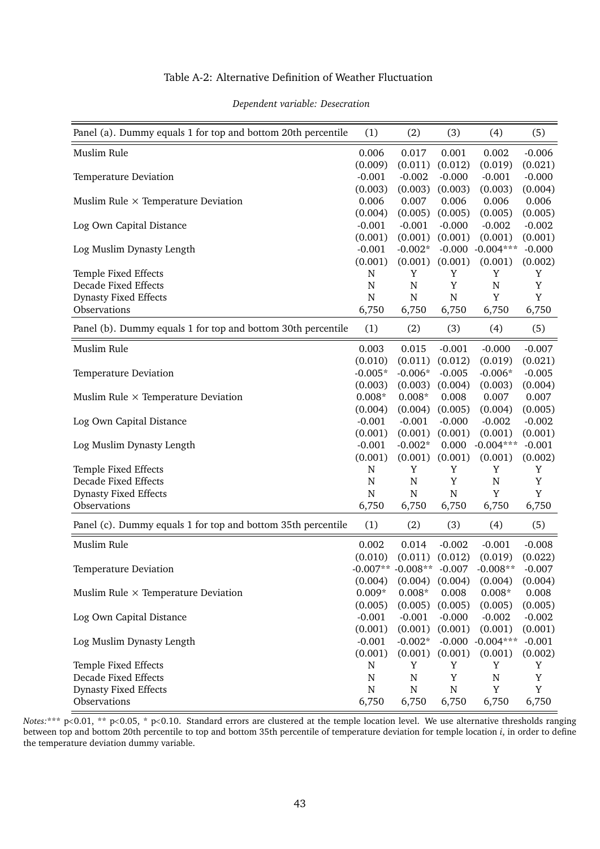#### Table A-2: Alternative Definition of Weather Fluctuation

<span id="page-44-0"></span>

| Panel (a). Dummy equals 1 for top and bottom 20th percentile | (1)       | (2)                   | (3)       | (4)                 | (5)         |
|--------------------------------------------------------------|-----------|-----------------------|-----------|---------------------|-------------|
| Muslim Rule                                                  | 0.006     | 0.017                 | 0.001     | 0.002               | $-0.006$    |
|                                                              | (0.009)   | (0.011)               | (0.012)   | (0.019)             | (0.021)     |
| Temperature Deviation                                        | $-0.001$  | $-0.002$              | $-0.000$  | $-0.001$            | $-0.000$    |
|                                                              | (0.003)   | (0.003)               | (0.003)   | (0.003)             | (0.004)     |
| Muslim Rule $\times$ Temperature Deviation                   | 0.006     | 0.007                 | 0.006     | 0.006               | 0.006       |
|                                                              | (0.004)   | (0.005)               | (0.005)   | (0.005)             | (0.005)     |
| Log Own Capital Distance                                     | $-0.001$  | $-0.001$              | $-0.000$  | $-0.002$            | $-0.002$    |
|                                                              | (0.001)   | (0.001)               | (0.001)   | (0.001)             | (0.001)     |
| Log Muslim Dynasty Length                                    | $-0.001$  | $-0.002*$             |           | $-0.000 - 0.004***$ | $-0.000$    |
|                                                              | (0.001)   | (0.001)               | (0.001)   | (0.001)             | (0.002)     |
| Temple Fixed Effects                                         | N         | Y                     | Y         | Y                   | Y           |
| Decade Fixed Effects                                         | ${\bf N}$ | ${\bf N}$             | Y         | ${\bf N}$           | $\mathbf Y$ |
| <b>Dynasty Fixed Effects</b>                                 | ${\bf N}$ | N                     | N         | Y                   | $\mathbf Y$ |
| Observations                                                 | 6,750     | 6,750                 | 6,750     | 6,750               | 6,750       |
| Panel (b). Dummy equals 1 for top and bottom 30th percentile | (1)       | (2)                   | (3)       | (4)                 | (5)         |
| Muslim Rule                                                  | 0.003     | 0.015                 | $-0.001$  | $-0.000$            | $-0.007$    |
|                                                              | (0.010)   | (0.011)               | (0.012)   | (0.019)             | (0.021)     |
| Temperature Deviation                                        | $-0.005*$ | $-0.006*$             | $-0.005$  | $-0.006*$           | $-0.005$    |
|                                                              | (0.003)   | (0.003)               | (0.004)   | (0.003)             | (0.004)     |
| Muslim Rule $\times$ Temperature Deviation                   | $0.008*$  | $0.008*$              | 0.008     | 0.007               | 0.007       |
|                                                              | (0.004)   | (0.004)               | (0.005)   | (0.004)             | (0.005)     |
| Log Own Capital Distance                                     | $-0.001$  | $-0.001$              | $-0.000$  | $-0.002$            | $-0.002$    |
|                                                              | (0.001)   | (0.001)               | (0.001)   | (0.001)             | (0.001)     |
| Log Muslim Dynasty Length                                    | $-0.001$  | $-0.002*$             | 0.000     | $-0.004***$         | $-0.001$    |
|                                                              | (0.001)   | (0.001)               | (0.001)   | (0.001)             | (0.002)     |
| Temple Fixed Effects                                         | ${\bf N}$ | $\mathbf Y$           | Y         | Y                   | Y           |
| <b>Decade Fixed Effects</b>                                  | N         | ${\bf N}$             | Y         | $\mathbf N$         | Y           |
| <b>Dynasty Fixed Effects</b>                                 | N         | N                     | N         | Y                   | Y           |
| Observations                                                 | 6,750     | 6,750                 | 6,750     | 6,750               | 6,750       |
| Panel (c). Dummy equals 1 for top and bottom 35th percentile | (1)       | (2)                   | (3)       | (4)                 | (5)         |
|                                                              |           |                       |           |                     |             |
| Muslim Rule                                                  | 0.002     | 0.014                 | $-0.002$  | $-0.001$            | $-0.008$    |
|                                                              | (0.010)   | (0.011)               | (0.012)   | (0.019)             | (0.022)     |
| Temperature Deviation                                        |           | $-0.007**$ $-0.008**$ | $-0.007$  | $-0.008**$          | $-0.007$    |
|                                                              | (0.004)   | (0.004)               | (0.004)   | (0.004)             | (0.004)     |
| Muslim Rule $\times$ Temperature Deviation                   | $0.009*$  | $0.008*$              | 0.008     | $0.008*$            | 0.008       |
|                                                              | (0.005)   | (0.005)               | (0.005)   | (0.005)             | (0.005)     |
| Log Own Capital Distance                                     | $-0.001$  | $-0.001$              | $-0.000$  | $-0.002$            | $-0.002$    |
|                                                              | (0.001)   | (0.001)               | (0.001)   | (0.001)             | (0.001)     |
| Log Muslim Dynasty Length                                    | $-0.001$  | $-0.002*$             | $-0.000$  | $-0.004***$         | $-0.001$    |
|                                                              | (0.001)   | (0.001)               | (0.001)   | (0.001)             | (0.002)     |
| Temple Fixed Effects                                         | N         | Y                     | Y         | Y                   | Y           |
| Decade Fixed Effects                                         | N         | ${\bf N}$             | Y         | $\mathbf N$         | $\mathbf Y$ |
| <b>Dynasty Fixed Effects</b>                                 | ${\bf N}$ | N                     | ${\bf N}$ | $\mathbf Y$         | $\mathbf Y$ |
| Observations                                                 | 6,750     | 6,750                 | 6,750     | 6,750               | 6,750       |

#### *Dependent variable: Desecration*

*Notes:*\*\*\* p<0.01, \*\* p<0.05, \* p<0.10. Standard errors are clustered at the temple location level. We use alternative thresholds ranging between top and bottom 20th percentile to top and bottom 35th percentile of temperature deviation for temple location *i*, in order to define the temperature deviation dummy variable.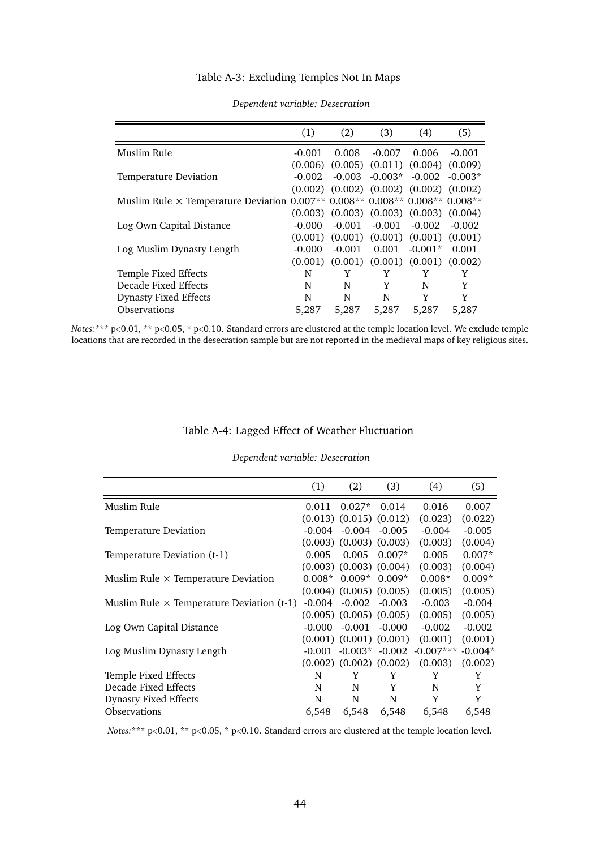### Table A-3: Excluding Temples Not In Maps

<span id="page-45-0"></span>

|                                            | (1)      | (2)      | (3)                           | (4)                                       | (5)       |
|--------------------------------------------|----------|----------|-------------------------------|-------------------------------------------|-----------|
| Muslim Rule                                | $-0.001$ | 0.008    | $-0.007$                      | 0.006                                     | $-0.001$  |
|                                            | (0.006)  |          | $(0.005)$ $(0.011)$ $(0.004)$ |                                           | (0.009)   |
| Temperature Deviation                      | $-0.002$ | $-0.003$ | $-0.003*$                     | $-0.002$                                  | $-0.003*$ |
|                                            | (0.002)  |          | $(0.002)$ $(0.002)$ $(0.002)$ |                                           | (0.002)   |
| Muslim Rule $\times$ Temperature Deviation |          |          |                               | $0.007**$ 0.008** 0.008** 0.008** 0.008** |           |
|                                            | (0.003)  |          |                               | $(0.003)$ $(0.003)$ $(0.003)$             | (0.004)   |
| Log Own Capital Distance                   | $-0.000$ | $-0.001$ | $-0.001$                      | $-0.002$                                  | $-0.002$  |
|                                            | (0.001)  | (0.001)  | (0.001)                       | (0.001)                                   | (0.001)   |
| Log Muslim Dynasty Length                  | $-0.000$ | $-0.001$ | 0.001                         | $-0.001*$                                 | 0.001     |
|                                            | (0.001)  |          |                               | $(0.001)$ $(0.001)$ $(0.001)$             | (0.002)   |
| Temple Fixed Effects                       | N        | Y        | Y                             | Y                                         | Y         |
| Decade Fixed Effects                       | N        | N        | Y                             | N                                         | Y         |
| <b>Dynasty Fixed Effects</b>               | N        | N        | N                             | Y                                         | Y         |
| <b>Observations</b>                        | 5,287    | 5,287    | 5,287                         | 5,287                                     | 5,287     |

#### *Dependent variable: Desecration*

*Notes:*\*\*\* p<0.01, \*\* p<0.05, \* p<0.10. Standard errors are clustered at the temple location level. We exclude temple locations that are recorded in the desecration sample but are not reported in the medieval maps of key religious sites.

#### Table A-4: Lagged Effect of Weather Fluctuation

#### *Dependent variable: Desecration*

<span id="page-45-1"></span>

|                                                  | (1)      | (2)                           | (3)      | (4)         | (5)       |
|--------------------------------------------------|----------|-------------------------------|----------|-------------|-----------|
| Muslim Rule                                      | 0.011    | $0.027*$                      | 0.014    | 0.016       | 0.007     |
|                                                  |          | $(0.013)$ $(0.015)$ $(0.012)$ |          | (0.023)     | (0.022)   |
| Temperature Deviation                            | $-0.004$ | $-0.004 - 0.005$              |          | $-0.004$    | $-0.005$  |
|                                                  |          | $(0.003)$ $(0.003)$ $(0.003)$ |          | (0.003)     | (0.004)   |
| Temperature Deviation (t-1)                      | 0.005    | 0.005                         | $0.007*$ | 0.005       | $0.007*$  |
|                                                  |          | $(0.003)$ $(0.003)$ $(0.004)$ |          | (0.003)     | (0.004)   |
| Muslim Rule $\times$ Temperature Deviation       | $0.008*$ | $0.009*$                      | $0.009*$ | $0.008*$    | $0.009*$  |
|                                                  |          | $(0.004)$ $(0.005)$ $(0.005)$ |          | (0.005)     | (0.005)   |
| Muslim Rule $\times$ Temperature Deviation (t-1) | $-0.004$ | -0.002                        | $-0.003$ | $-0.003$    | $-0.004$  |
|                                                  |          | $(0.005)$ $(0.005)$ $(0.005)$ |          | (0.005)     | (0.005)   |
| Log Own Capital Distance                         | $-0.000$ | $-0.001$                      | $-0.000$ | $-0.002$    | $-0.002$  |
|                                                  |          | $(0.001)$ $(0.001)$ $(0.001)$ |          | (0.001)     | (0.001)   |
| Log Muslim Dynasty Length                        | $-0.001$ | $-0.003*$                     | $-0.002$ | $-0.007***$ | $-0.004*$ |
|                                                  |          | $(0.002)$ $(0.002)$ $(0.002)$ |          | (0.003)     | (0.002)   |
| Temple Fixed Effects                             | N        | Y                             | Y        | Y           | Y         |
| Decade Fixed Effects                             | N        | N                             | Y        | N           | Y         |
| <b>Dynasty Fixed Effects</b>                     | N        | N                             | N        | Y           | Y         |
| Observations                                     | 6,548    | 6,548                         | 6,548    | 6,548       | 6,548     |
|                                                  |          |                               |          |             |           |

*Notes*:\*\*\* p<0.01, \*\* p<0.05, \* p<0.10. Standard errors are clustered at the temple location level.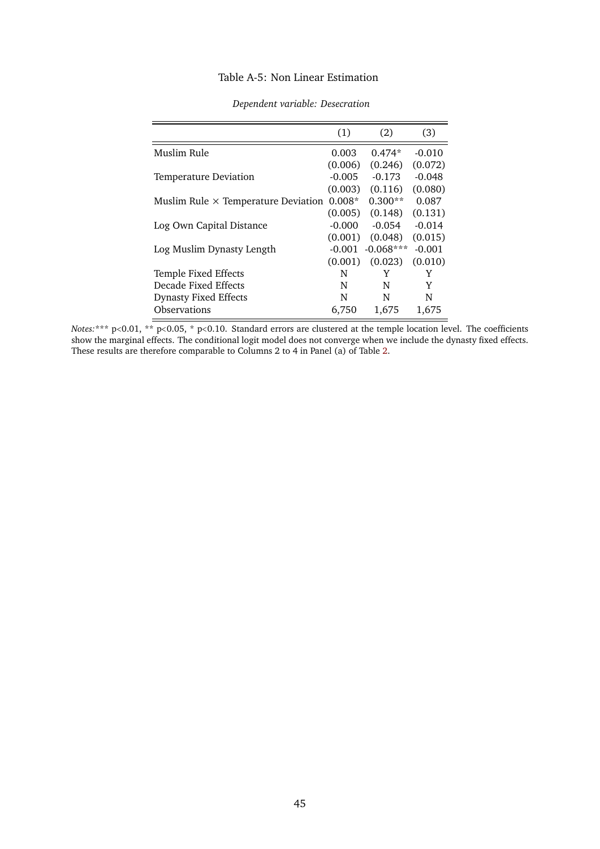#### Table A-5: Non Linear Estimation

<span id="page-46-0"></span>

|                                            | (1)      | (2)         | (3)      |
|--------------------------------------------|----------|-------------|----------|
| Muslim Rule                                | 0.003    | $0.474*$    | $-0.010$ |
|                                            | (0.006)  | (0.246)     | (0.072)  |
| Temperature Deviation                      | $-0.005$ | $-0.173$    | $-0.048$ |
|                                            | (0.003)  | (0.116)     | (0.080)  |
| Muslim Rule $\times$ Temperature Deviation | $0.008*$ | $0.300**$   | 0.087    |
|                                            | (0.005)  | (0.148)     | (0.131)  |
| Log Own Capital Distance                   | $-0.000$ | $-0.054$    | $-0.014$ |
|                                            | (0.001)  | (0.048)     | (0.015)  |
| Log Muslim Dynasty Length                  | -0.001   | $-0.068***$ | $-0.001$ |
|                                            | (0.001)  | (0.023)     | (0.010)  |
| Temple Fixed Effects                       | N        | Y           | Y        |
| Decade Fixed Effects                       | N        | N           | Y        |
| <b>Dynasty Fixed Effects</b>               | N        | N           | N        |
| Observations                               | 6,750    | 1,675       | 1,675    |

#### *Dependent variable: Desecration*

*Notes:*\*\*\* p<0.01, \*\* p<0.05, \* p<0.10. Standard errors are clustered at the temple location level. The coefficients show the marginal effects. The conditional logit model does not converge when we include the dynasty fixed effects. These results are therefore comparable to Columns 2 to 4 in Panel (a) of Table [2.](#page-17-1)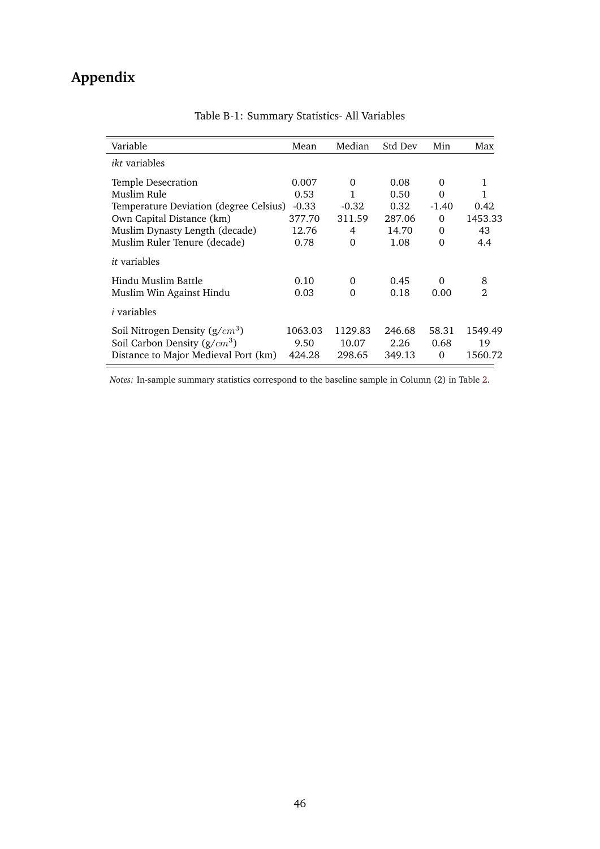# **Appendix**

| Variable                               | Mean    | Median   | Std Dev | Min      | Max            |
|----------------------------------------|---------|----------|---------|----------|----------------|
| <i>ikt</i> variables                   |         |          |         |          |                |
| Temple Desecration                     | 0.007   | $\Omega$ | 0.08    | 0        | 1              |
| Muslim Rule                            | 0.53    | 1        | 0.50    | $\Omega$ |                |
| Temperature Deviation (degree Celsius) | $-0.33$ | $-0.32$  | 0.32    | $-1.40$  | 0.42           |
| Own Capital Distance (km)              | 377.70  | 311.59   | 287.06  | 0        | 1453.33        |
| Muslim Dynasty Length (decade)         | 12.76   | 4        | 14.70   | $\Omega$ | 43             |
| Muslim Ruler Tenure (decade)           | 0.78    | 0        | 1.08    | $\Omega$ | 4.4            |
| <i>it</i> variables                    |         |          |         |          |                |
| Hindu Muslim Battle                    | 0.10    | 0        | 0.45    | $\Omega$ | 8              |
| Muslim Win Against Hindu               | 0.03    | 0        | 0.18    | 0.00     | $\mathfrak{D}$ |
| <i>i</i> variables                     |         |          |         |          |                |
| Soil Nitrogen Density $(g/cm^3)$       | 1063.03 | 1129.83  | 246.68  | 58.31    | 1549.49        |
| Soil Carbon Density $(g/cm^3)$         | 9.50    | 10.07    | 2.26    | 0.68     | 19             |
| Distance to Major Medieval Port (km)   | 424.28  | 298.65   | 349.13  | $\Omega$ | 1560.72        |

Table B-1: Summary Statistics- All Variables

*Notes:* In-sample summary statistics correspond to the baseline sample in Column (2) in Table [2.](#page-17-1)